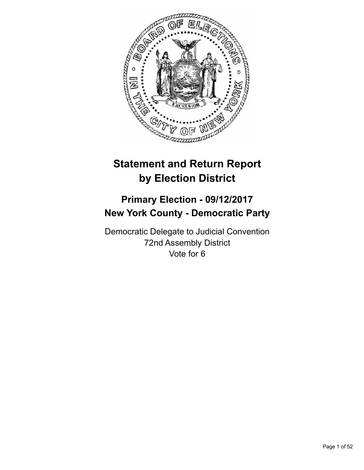

# **Statement and Return Report by Election District**

## **Primary Election - 09/12/2017 New York County - Democratic Party**

Democratic Delegate to Judicial Convention 72nd Assembly District Vote for 6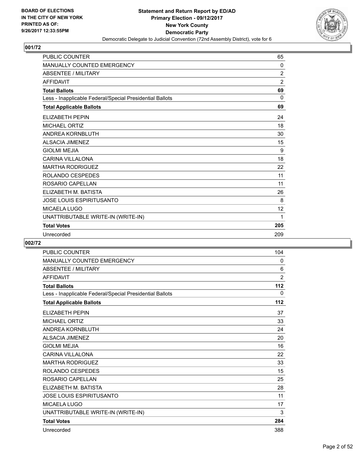

| PUBLIC COUNTER                                           | 65             |
|----------------------------------------------------------|----------------|
| <b>MANUALLY COUNTED EMERGENCY</b>                        | 0              |
| <b>ABSENTEE / MILITARY</b>                               | $\overline{2}$ |
| <b>AFFIDAVIT</b>                                         | $\overline{2}$ |
| <b>Total Ballots</b>                                     | 69             |
| Less - Inapplicable Federal/Special Presidential Ballots | $\Omega$       |
| <b>Total Applicable Ballots</b>                          | 69             |
| <b>ELIZABETH PEPIN</b>                                   | 24             |
| <b>MICHAEL ORTIZ</b>                                     | 18             |
| <b>ANDREA KORNBLUTH</b>                                  | 30             |
| <b>ALSACIA JIMENEZ</b>                                   | 15             |
| <b>GIOLMI MEJIA</b>                                      | 9              |
| CARINA VILLALONA                                         | 18             |
| <b>MARTHA RODRIGUEZ</b>                                  | 22             |
| ROLANDO CESPEDES                                         | 11             |
| ROSARIO CAPELLAN                                         | 11             |
| ELIZABETH M. BATISTA                                     | 26             |
| JOSE LOUIS ESPIRITUSANTO                                 | 8              |
| MICAELA LUGO                                             | 12             |
| UNATTRIBUTABLE WRITE-IN (WRITE-IN)                       | 1              |
| <b>Total Votes</b>                                       | 205            |
| Unrecorded                                               | 209            |

| <b>PUBLIC COUNTER</b>                                    | 104            |
|----------------------------------------------------------|----------------|
| MANUALLY COUNTED EMERGENCY                               | 0              |
| <b>ABSENTEE / MILITARY</b>                               | 6              |
| <b>AFFIDAVIT</b>                                         | $\overline{2}$ |
| <b>Total Ballots</b>                                     | 112            |
| Less - Inapplicable Federal/Special Presidential Ballots | 0              |
| <b>Total Applicable Ballots</b>                          | 112            |
| <b>ELIZABETH PEPIN</b>                                   | 37             |
| <b>MICHAEL ORTIZ</b>                                     | 33             |
| ANDREA KORNBLUTH                                         | 24             |
| ALSACIA JIMENEZ                                          | 20             |
| <b>GIOLMI MEJIA</b>                                      | 16             |
| <b>CARINA VILLALONA</b>                                  | 22             |
| <b>MARTHA RODRIGUEZ</b>                                  | 33             |
| ROLANDO CESPEDES                                         | 15             |
| ROSARIO CAPELLAN                                         | 25             |
| ELIZABETH M. BATISTA                                     | 28             |
| <b>JOSE LOUIS ESPIRITUSANTO</b>                          | 11             |
| <b>MICAELA LUGO</b>                                      | 17             |
| UNATTRIBUTABLE WRITE-IN (WRITE-IN)                       | 3              |
| <b>Total Votes</b>                                       | 284            |
| Unrecorded                                               | 388            |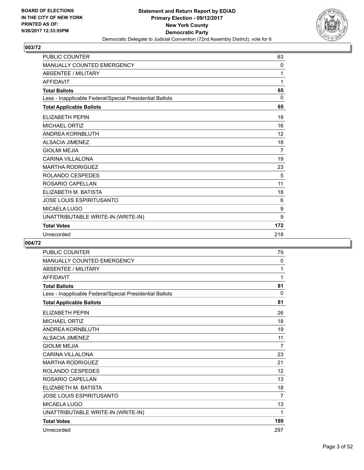

| <b>PUBLIC COUNTER</b>                                    | 63             |
|----------------------------------------------------------|----------------|
| <b>MANUALLY COUNTED EMERGENCY</b>                        | 0              |
| <b>ABSENTEE / MILITARY</b>                               | 1              |
| <b>AFFIDAVIT</b>                                         | 1              |
| <b>Total Ballots</b>                                     | 65             |
| Less - Inapplicable Federal/Special Presidential Ballots | 0              |
| <b>Total Applicable Ballots</b>                          | 65             |
| <b>ELIZABETH PEPIN</b>                                   | 19             |
| <b>MICHAEL ORTIZ</b>                                     | 16             |
| <b>ANDREA KORNBLUTH</b>                                  | 12             |
| <b>ALSACIA JIMENEZ</b>                                   | 18             |
| <b>GIOLMI MEJIA</b>                                      | $\overline{7}$ |
| <b>CARINA VILLALONA</b>                                  | 19             |
| <b>MARTHA RODRIGUEZ</b>                                  | 23             |
| ROLANDO CESPEDES                                         | 5              |
| ROSARIO CAPELLAN                                         | 11             |
| ELIZABETH M. BATISTA                                     | 18             |
| <b>JOSE LOUIS ESPIRITUSANTO</b>                          | 6              |
| <b>MICAELA LUGO</b>                                      | 9              |
| UNATTRIBUTABLE WRITE-IN (WRITE-IN)                       | 9              |
| <b>Total Votes</b>                                       | 172            |
| Unrecorded                                               | 218            |

| <b>PUBLIC COUNTER</b>                                    | 79             |
|----------------------------------------------------------|----------------|
| MANUALLY COUNTED EMERGENCY                               | 0              |
| <b>ABSENTEE / MILITARY</b>                               | 1              |
| <b>AFFIDAVIT</b>                                         | 1              |
| <b>Total Ballots</b>                                     | 81             |
| Less - Inapplicable Federal/Special Presidential Ballots | 0              |
| <b>Total Applicable Ballots</b>                          | 81             |
| <b>ELIZABETH PEPIN</b>                                   | 26             |
| <b>MICHAEL ORTIZ</b>                                     | 18             |
| ANDREA KORNBLUTH                                         | 19             |
| <b>ALSACIA JIMENEZ</b>                                   | 11             |
| <b>GIOLMI MEJIA</b>                                      | $\overline{7}$ |
| <b>CARINA VILLALONA</b>                                  | 23             |
| <b>MARTHA RODRIGUEZ</b>                                  | 21             |
| ROLANDO CESPEDES                                         | 12             |
| ROSARIO CAPELLAN                                         | 13             |
| ELIZABETH M. BATISTA                                     | 18             |
| <b>JOSE LOUIS ESPIRITUSANTO</b>                          | $\overline{7}$ |
| <b>MICAELA LUGO</b>                                      | 13             |
| UNATTRIBUTABLE WRITE-IN (WRITE-IN)                       | 1              |
| <b>Total Votes</b>                                       | 189            |
| Unrecorded                                               | 297            |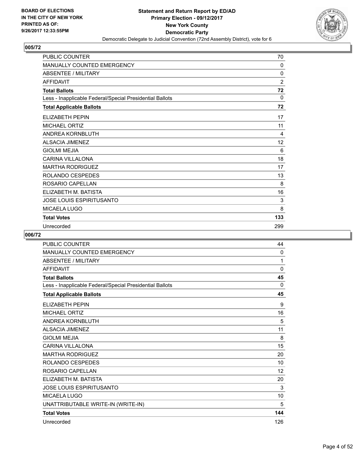

| PUBLIC COUNTER                                           | 70             |
|----------------------------------------------------------|----------------|
| MANUALLY COUNTED EMERGENCY                               | $\mathbf{0}$   |
| <b>ABSENTEE / MILITARY</b>                               | 0              |
| <b>AFFIDAVIT</b>                                         | $\overline{2}$ |
| <b>Total Ballots</b>                                     | 72             |
| Less - Inapplicable Federal/Special Presidential Ballots | $\mathbf{0}$   |
| <b>Total Applicable Ballots</b>                          | 72             |
| <b>ELIZABETH PEPIN</b>                                   | 17             |
| <b>MICHAEL ORTIZ</b>                                     | 11             |
| <b>ANDREA KORNBLUTH</b>                                  | 4              |
| <b>ALSACIA JIMENEZ</b>                                   | 12             |
| <b>GIOLMI MEJIA</b>                                      | 6              |
| CARINA VILLALONA                                         | 18             |
| <b>MARTHA RODRIGUEZ</b>                                  | 17             |
| ROLANDO CESPEDES                                         | 13             |
| ROSARIO CAPELLAN                                         | 8              |
| ELIZABETH M. BATISTA                                     | 16             |
| <b>JOSE LOUIS ESPIRITUSANTO</b>                          | 3              |
| MICAELA LUGO                                             | 8              |
| <b>Total Votes</b>                                       | 133            |
| Unrecorded                                               | 299            |

| <b>PUBLIC COUNTER</b>                                    | 44           |
|----------------------------------------------------------|--------------|
| MANUALLY COUNTED EMERGENCY                               | $\mathbf{0}$ |
| <b>ABSENTEE / MILITARY</b>                               | 1            |
| <b>AFFIDAVIT</b>                                         | 0            |
| <b>Total Ballots</b>                                     | 45           |
| Less - Inapplicable Federal/Special Presidential Ballots | $\Omega$     |
| <b>Total Applicable Ballots</b>                          | 45           |
| <b>ELIZABETH PEPIN</b>                                   | 9            |
| <b>MICHAEL ORTIZ</b>                                     | 16           |
| ANDREA KORNBLUTH                                         | 5            |
| <b>ALSACIA JIMENEZ</b>                                   | 11           |
| <b>GIOLMI MEJIA</b>                                      | 8            |
| <b>CARINA VILLALONA</b>                                  | 15           |
| <b>MARTHA RODRIGUEZ</b>                                  | 20           |
| ROLANDO CESPEDES                                         | 10           |
| ROSARIO CAPELLAN                                         | 12           |
| ELIZABETH M. BATISTA                                     | 20           |
| <b>JOSE LOUIS ESPIRITUSANTO</b>                          | 3            |
| MICAELA LUGO                                             | 10           |
| UNATTRIBUTABLE WRITE-IN (WRITE-IN)                       | 5            |
| <b>Total Votes</b>                                       | 144          |
| Unrecorded                                               | 126          |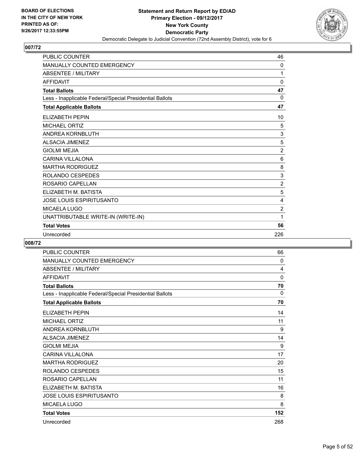

| <b>PUBLIC COUNTER</b>                                    | 46             |
|----------------------------------------------------------|----------------|
| <b>MANUALLY COUNTED EMERGENCY</b>                        | 0              |
| <b>ABSENTEE / MILITARY</b>                               | 1              |
| <b>AFFIDAVIT</b>                                         | $\mathbf 0$    |
| <b>Total Ballots</b>                                     | 47             |
| Less - Inapplicable Federal/Special Presidential Ballots | 0              |
| <b>Total Applicable Ballots</b>                          | 47             |
| <b>ELIZABETH PEPIN</b>                                   | 10             |
| <b>MICHAEL ORTIZ</b>                                     | 5              |
| <b>ANDREA KORNBLUTH</b>                                  | 3              |
| <b>ALSACIA JIMENEZ</b>                                   | 5              |
| <b>GIOLMI MEJIA</b>                                      | $\overline{2}$ |
| <b>CARINA VILLALONA</b>                                  | 6              |
| <b>MARTHA RODRIGUEZ</b>                                  | 8              |
| ROLANDO CESPEDES                                         | 3              |
| ROSARIO CAPELLAN                                         | $\overline{2}$ |
| ELIZABETH M. BATISTA                                     | 5              |
| <b>JOSE LOUIS ESPIRITUSANTO</b>                          | 4              |
| <b>MICAELA LUGO</b>                                      | $\overline{2}$ |
| UNATTRIBUTABLE WRITE-IN (WRITE-IN)                       | 1              |
| <b>Total Votes</b>                                       | 56             |
| Unrecorded                                               | 226            |

| <b>PUBLIC COUNTER</b>                                    | 66       |
|----------------------------------------------------------|----------|
| MANUALLY COUNTED EMERGENCY                               | $\Omega$ |
| <b>ABSENTEE / MILITARY</b>                               | 4        |
| <b>AFFIDAVIT</b>                                         | 0        |
| <b>Total Ballots</b>                                     | 70       |
| Less - Inapplicable Federal/Special Presidential Ballots | 0        |
| <b>Total Applicable Ballots</b>                          | 70       |
| <b>ELIZABETH PEPIN</b>                                   | 14       |
| <b>MICHAEL ORTIZ</b>                                     | 11       |
| ANDREA KORNBLUTH                                         | 9        |
| <b>ALSACIA JIMENEZ</b>                                   | 14       |
| <b>GIOLMI MEJIA</b>                                      | 9        |
| <b>CARINA VILLALONA</b>                                  | 17       |
| <b>MARTHA RODRIGUEZ</b>                                  | 20       |
| ROLANDO CESPEDES                                         | 15       |
| ROSARIO CAPELLAN                                         | 11       |
| ELIZABETH M. BATISTA                                     | 16       |
| <b>JOSE LOUIS ESPIRITUSANTO</b>                          | 8        |
| <b>MICAELA LUGO</b>                                      | 8        |
| <b>Total Votes</b>                                       | 152      |
| Unrecorded                                               | 268      |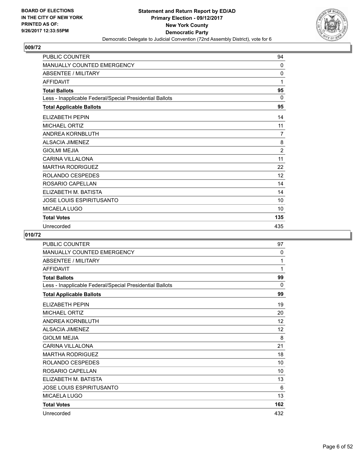

| <b>PUBLIC COUNTER</b>                                    | 94             |
|----------------------------------------------------------|----------------|
| <b>MANUALLY COUNTED EMERGENCY</b>                        | 0              |
| <b>ABSENTEE / MILITARY</b>                               | 0              |
| <b>AFFIDAVIT</b>                                         | 1              |
| <b>Total Ballots</b>                                     | 95             |
| Less - Inapplicable Federal/Special Presidential Ballots | $\mathbf{0}$   |
| <b>Total Applicable Ballots</b>                          | 95             |
| <b>ELIZABETH PEPIN</b>                                   | 14             |
| <b>MICHAEL ORTIZ</b>                                     | 11             |
| ANDREA KORNBLUTH                                         | 7              |
| <b>ALSACIA JIMENEZ</b>                                   | 8              |
| <b>GIOLMI MEJIA</b>                                      | $\overline{2}$ |
| <b>CARINA VILLALONA</b>                                  | 11             |
| <b>MARTHA RODRIGUEZ</b>                                  | 22             |
| ROLANDO CESPEDES                                         | 12             |
| ROSARIO CAPELLAN                                         | 14             |
| ELIZABETH M. BATISTA                                     | 14             |
| <b>JOSE LOUIS ESPIRITUSANTO</b>                          | 10             |
| MICAELA LUGO                                             | 10             |
| <b>Total Votes</b>                                       | 135            |
| Unrecorded                                               | 435            |

| PUBLIC COUNTER                                           | 97  |
|----------------------------------------------------------|-----|
| <b>MANUALLY COUNTED EMERGENCY</b>                        | 0   |
| <b>ABSENTEE / MILITARY</b>                               | 1   |
| <b>AFFIDAVIT</b>                                         | 1   |
| <b>Total Ballots</b>                                     | 99  |
| Less - Inapplicable Federal/Special Presidential Ballots | 0   |
| <b>Total Applicable Ballots</b>                          | 99  |
| <b>ELIZABETH PEPIN</b>                                   | 19  |
| <b>MICHAEL ORTIZ</b>                                     | 20  |
| ANDREA KORNBLUTH                                         | 12  |
| <b>ALSACIA JIMENEZ</b>                                   | 12  |
| <b>GIOLMI MEJIA</b>                                      | 8   |
| CARINA VII LAI ONA                                       | 21  |
| <b>MARTHA RODRIGUEZ</b>                                  | 18  |
| ROLANDO CESPEDES                                         | 10  |
| ROSARIO CAPELLAN                                         | 10  |
| ELIZABETH M. BATISTA                                     | 13  |
| <b>JOSE LOUIS ESPIRITUSANTO</b>                          | 6   |
| MICAELA LUGO                                             | 13  |
| <b>Total Votes</b>                                       | 162 |
| Unrecorded                                               | 432 |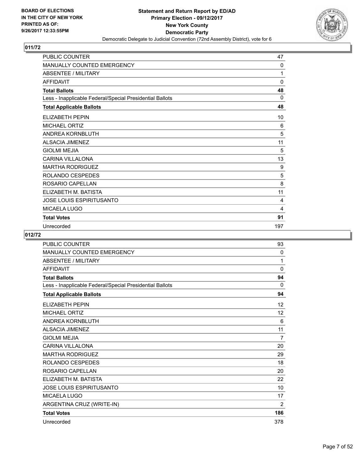

| <b>PUBLIC COUNTER</b>                                    | 47  |
|----------------------------------------------------------|-----|
| MANUALLY COUNTED EMERGENCY                               | 0   |
| <b>ABSENTEE / MILITARY</b>                               | 1   |
| <b>AFFIDAVIT</b>                                         | 0   |
| <b>Total Ballots</b>                                     | 48  |
| Less - Inapplicable Federal/Special Presidential Ballots | 0   |
| <b>Total Applicable Ballots</b>                          | 48  |
| <b>ELIZABETH PEPIN</b>                                   | 10  |
| <b>MICHAEL ORTIZ</b>                                     | 6   |
| ANDREA KORNBLUTH                                         | 5   |
| <b>ALSACIA JIMENEZ</b>                                   | 11  |
| <b>GIOLMI MEJIA</b>                                      | 5   |
| <b>CARINA VILLALONA</b>                                  | 13  |
| <b>MARTHA RODRIGUEZ</b>                                  | 9   |
| ROLANDO CESPEDES                                         | 5   |
| ROSARIO CAPELLAN                                         | 8   |
| ELIZABETH M. BATISTA                                     | 11  |
| <b>JOSE LOUIS ESPIRITUSANTO</b>                          | 4   |
| <b>MICAELA LUGO</b>                                      | 4   |
| <b>Total Votes</b>                                       | 91  |
| Unrecorded                                               | 197 |

| <b>PUBLIC COUNTER</b>                                    | 93             |
|----------------------------------------------------------|----------------|
| MANUALLY COUNTED EMERGENCY                               | 0              |
| <b>ABSENTEE / MILITARY</b>                               | 1              |
| <b>AFFIDAVIT</b>                                         | $\mathbf{0}$   |
| <b>Total Ballots</b>                                     | 94             |
| Less - Inapplicable Federal/Special Presidential Ballots | 0              |
| <b>Total Applicable Ballots</b>                          | 94             |
| <b>ELIZABETH PEPIN</b>                                   | 12             |
| <b>MICHAEL ORTIZ</b>                                     | 12             |
| <b>ANDREA KORNBLUTH</b>                                  | 6              |
| <b>ALSACIA JIMENEZ</b>                                   | 11             |
| <b>GIOLMI MEJIA</b>                                      | $\overline{7}$ |
| <b>CARINA VILLALONA</b>                                  | 20             |
| <b>MARTHA RODRIGUEZ</b>                                  | 29             |
| ROLANDO CESPEDES                                         | 18             |
| ROSARIO CAPELLAN                                         | 20             |
| ELIZABETH M. BATISTA                                     | 22             |
| <b>JOSE LOUIS ESPIRITUSANTO</b>                          | 10             |
| MICAELA LUGO                                             | 17             |
| ARGENTINA CRUZ (WRITE-IN)                                | 2              |
| <b>Total Votes</b>                                       | 186            |
| Unrecorded                                               | 378            |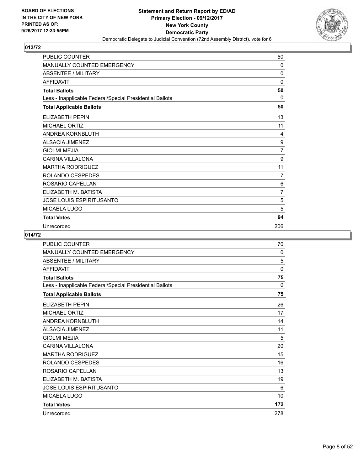

| <b>PUBLIC COUNTER</b>                                    | 50             |
|----------------------------------------------------------|----------------|
| <b>MANUALLY COUNTED EMERGENCY</b>                        | $\mathbf{0}$   |
| <b>ABSENTEE / MILITARY</b>                               | $\Omega$       |
| <b>AFFIDAVIT</b>                                         | 0              |
| <b>Total Ballots</b>                                     | 50             |
| Less - Inapplicable Federal/Special Presidential Ballots | $\Omega$       |
| <b>Total Applicable Ballots</b>                          | 50             |
| ELIZABETH PEPIN                                          | 13             |
| <b>MICHAEL ORTIZ</b>                                     | 11             |
| <b>ANDREA KORNBLUTH</b>                                  | 4              |
| <b>ALSACIA JIMENEZ</b>                                   | 9              |
| <b>GIOLMI MEJIA</b>                                      | 7              |
| <b>CARINA VILLALONA</b>                                  | 9              |
| <b>MARTHA RODRIGUEZ</b>                                  | 11             |
| ROLANDO CESPEDES                                         | $\overline{7}$ |
| ROSARIO CAPELLAN                                         | 6              |
| ELIZABETH M. BATISTA                                     | $\overline{7}$ |
| <b>JOSE LOUIS ESPIRITUSANTO</b>                          | 5              |
| <b>MICAELA LUGO</b>                                      | 5              |
| <b>Total Votes</b>                                       | 94             |
| Unrecorded                                               | 206            |

| PUBLIC COUNTER                                           | 70  |
|----------------------------------------------------------|-----|
| MANUALLY COUNTED EMERGENCY                               | 0   |
| <b>ABSENTEE / MILITARY</b>                               | 5   |
| <b>AFFIDAVIT</b>                                         | 0   |
| <b>Total Ballots</b>                                     | 75  |
| Less - Inapplicable Federal/Special Presidential Ballots | 0   |
| <b>Total Applicable Ballots</b>                          | 75  |
| ELIZABETH PEPIN                                          | 26  |
| <b>MICHAEL ORTIZ</b>                                     | 17  |
| ANDREA KORNBLUTH                                         | 14  |
| ALSACIA JIMENEZ                                          | 11  |
| <b>GIOLMI MEJIA</b>                                      | 5   |
| <b>CARINA VILLALONA</b>                                  | 20  |
| <b>MARTHA RODRIGUEZ</b>                                  | 15  |
| ROLANDO CESPEDES                                         | 16  |
| ROSARIO CAPELLAN                                         | 13  |
| ELIZABETH M. BATISTA                                     | 19  |
| <b>JOSE LOUIS ESPIRITUSANTO</b>                          | 6   |
| MICAELA LUGO                                             | 10  |
| <b>Total Votes</b>                                       | 172 |
| Unrecorded                                               | 278 |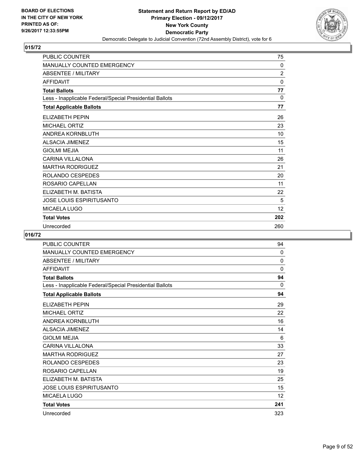

| <b>PUBLIC COUNTER</b>                                    | 75             |
|----------------------------------------------------------|----------------|
| MANUALLY COUNTED EMERGENCY                               | $\mathbf{0}$   |
| <b>ABSENTEE / MILITARY</b>                               | $\overline{2}$ |
| <b>AFFIDAVIT</b>                                         | $\mathbf{0}$   |
| <b>Total Ballots</b>                                     | 77             |
| Less - Inapplicable Federal/Special Presidential Ballots | $\Omega$       |
| <b>Total Applicable Ballots</b>                          | 77             |
| <b>ELIZABETH PEPIN</b>                                   | 26             |
| <b>MICHAEL ORTIZ</b>                                     | 23             |
| <b>ANDREA KORNBLUTH</b>                                  | 10             |
| <b>ALSACIA JIMENEZ</b>                                   | 15             |
| <b>GIOLMI MEJIA</b>                                      | 11             |
| <b>CARINA VILLALONA</b>                                  | 26             |
| <b>MARTHA RODRIGUEZ</b>                                  | 21             |
| ROLANDO CESPEDES                                         | 20             |
| ROSARIO CAPELLAN                                         | 11             |
| ELIZABETH M. BATISTA                                     | 22             |
| JOSE LOUIS ESPIRITUSANTO                                 | 5              |
| MICAELA LUGO                                             | 12             |
| <b>Total Votes</b>                                       | 202            |
| Unrecorded                                               | 260            |

| <b>PUBLIC COUNTER</b>                                    | 94                |
|----------------------------------------------------------|-------------------|
| <b>MANUALLY COUNTED EMERGENCY</b>                        | $\mathbf{0}$      |
| <b>ABSENTEE / MILITARY</b>                               | 0                 |
| <b>AFFIDAVIT</b>                                         | 0                 |
| <b>Total Ballots</b>                                     | 94                |
| Less - Inapplicable Federal/Special Presidential Ballots | $\Omega$          |
| <b>Total Applicable Ballots</b>                          | 94                |
| <b>ELIZABETH PEPIN</b>                                   | 29                |
| <b>MICHAEL ORTIZ</b>                                     | 22                |
| ANDREA KORNBLUTH                                         | 16                |
| <b>ALSACIA JIMENEZ</b>                                   | 14                |
| <b>GIOLMI MEJIA</b>                                      | 6                 |
| <b>CARINA VILLALONA</b>                                  | 33                |
| <b>MARTHA RODRIGUEZ</b>                                  | 27                |
| ROLANDO CESPEDES                                         | 23                |
| ROSARIO CAPELLAN                                         | 19                |
| ELIZABETH M. BATISTA                                     | 25                |
| <b>JOSE LOUIS ESPIRITUSANTO</b>                          | 15                |
| <b>MICAELA LUGO</b>                                      | $12 \overline{ }$ |
| <b>Total Votes</b>                                       | 241               |
| Unrecorded                                               | 323               |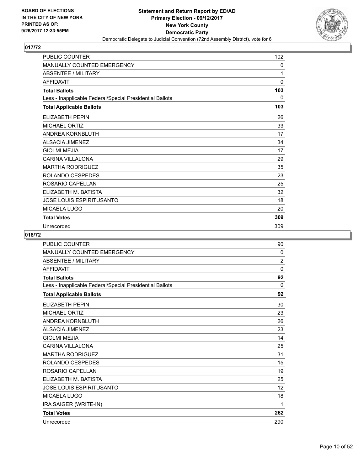

| <b>PUBLIC COUNTER</b>                                    | 102 |
|----------------------------------------------------------|-----|
| <b>MANUALLY COUNTED EMERGENCY</b>                        | 0   |
| <b>ABSENTEE / MILITARY</b>                               | 1   |
| <b>AFFIDAVIT</b>                                         | 0   |
| <b>Total Ballots</b>                                     | 103 |
| Less - Inapplicable Federal/Special Presidential Ballots | 0   |
| <b>Total Applicable Ballots</b>                          | 103 |
| <b>ELIZABETH PEPIN</b>                                   | 26  |
| <b>MICHAEL ORTIZ</b>                                     | 33  |
| ANDREA KORNBLUTH                                         | 17  |
| <b>ALSACIA JIMENEZ</b>                                   | 34  |
| <b>GIOLMI MEJIA</b>                                      | 17  |
| <b>CARINA VILLALONA</b>                                  | 29  |
| <b>MARTHA RODRIGUEZ</b>                                  | 35  |
| ROLANDO CESPEDES                                         | 23  |
| ROSARIO CAPELLAN                                         | 25  |
| ELIZABETH M. BATISTA                                     | 32  |
| <b>JOSE LOUIS ESPIRITUSANTO</b>                          | 18  |
| MICAELA LUGO                                             | 20  |
| <b>Total Votes</b>                                       | 309 |
| Unrecorded                                               | 309 |

| <b>PUBLIC COUNTER</b>                                    | 90             |
|----------------------------------------------------------|----------------|
| MANUALLY COUNTED EMERGENCY                               | 0              |
| <b>ABSENTEE / MILITARY</b>                               | $\overline{2}$ |
| <b>AFFIDAVIT</b>                                         | $\Omega$       |
| <b>Total Ballots</b>                                     | 92             |
| Less - Inapplicable Federal/Special Presidential Ballots | 0              |
| <b>Total Applicable Ballots</b>                          | 92             |
| <b>ELIZABETH PEPIN</b>                                   | 30             |
| <b>MICHAEL ORTIZ</b>                                     | 23             |
| ANDREA KORNBLUTH                                         | 26             |
| <b>ALSACIA JIMENEZ</b>                                   | 23             |
| <b>GIOLMI MEJIA</b>                                      | 14             |
| <b>CARINA VILLALONA</b>                                  | 25             |
| <b>MARTHA RODRIGUEZ</b>                                  | 31             |
| ROLANDO CESPEDES                                         | 15             |
| ROSARIO CAPELLAN                                         | 19             |
| ELIZABETH M. BATISTA                                     | 25             |
| <b>JOSE LOUIS ESPIRITUSANTO</b>                          | 12             |
| <b>MICAELA LUGO</b>                                      | 18             |
| IRA SAIGER (WRITE-IN)                                    | 1              |
| <b>Total Votes</b>                                       | 262            |
| Unrecorded                                               | 290            |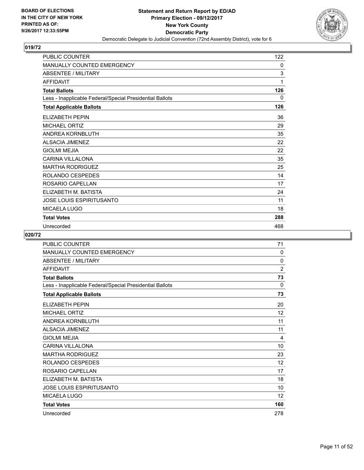

| <b>PUBLIC COUNTER</b>                                    | 122          |
|----------------------------------------------------------|--------------|
| MANUALLY COUNTED EMERGENCY                               | 0            |
| <b>ABSENTEE / MILITARY</b>                               | 3            |
| <b>AFFIDAVIT</b>                                         | 1            |
| <b>Total Ballots</b>                                     | 126          |
| Less - Inapplicable Federal/Special Presidential Ballots | $\mathbf{0}$ |
| <b>Total Applicable Ballots</b>                          | 126          |
| ELIZABETH PEPIN                                          | 36           |
| <b>MICHAEL ORTIZ</b>                                     | 29           |
| ANDREA KORNBLUTH                                         | 35           |
| <b>ALSACIA JIMENEZ</b>                                   | 22           |
| <b>GIOLMI MEJIA</b>                                      | 22           |
| <b>CARINA VILLALONA</b>                                  | 35           |
| <b>MARTHA RODRIGUEZ</b>                                  | 25           |
| ROLANDO CESPEDES                                         | 14           |
| ROSARIO CAPELLAN                                         | 17           |
| ELIZABETH M. BATISTA                                     | 24           |
| JOSE LOUIS ESPIRITUSANTO                                 | 11           |
| MICAELA LUGO                                             | 18           |
| <b>Total Votes</b>                                       | 288          |
| Unrecorded                                               | 468          |

| <b>PUBLIC COUNTER</b>                                    | 71                |
|----------------------------------------------------------|-------------------|
| <b>MANUALLY COUNTED EMERGENCY</b>                        | $\Omega$          |
| <b>ABSENTEE / MILITARY</b>                               | 0                 |
| <b>AFFIDAVIT</b>                                         | $\overline{2}$    |
| <b>Total Ballots</b>                                     | 73                |
| Less - Inapplicable Federal/Special Presidential Ballots | $\Omega$          |
| <b>Total Applicable Ballots</b>                          | 73                |
| <b>ELIZABETH PEPIN</b>                                   | 20                |
| <b>MICHAEL ORTIZ</b>                                     | 12                |
| ANDREA KORNBLUTH                                         | 11                |
| <b>ALSACIA JIMENEZ</b>                                   | 11                |
| <b>GIOLMI MEJIA</b>                                      | 4                 |
| <b>CARINA VILLALONA</b>                                  | 10                |
| <b>MARTHA RODRIGUEZ</b>                                  | 23                |
| ROLANDO CESPEDES                                         | $12 \overline{ }$ |
| ROSARIO CAPELLAN                                         | 17                |
| ELIZABETH M. BATISTA                                     | 18                |
| <b>JOSE LOUIS ESPIRITUSANTO</b>                          | 10                |
| MICAELA LUGO                                             | $12 \overline{ }$ |
| <b>Total Votes</b>                                       | 160               |
| Unrecorded                                               | 278               |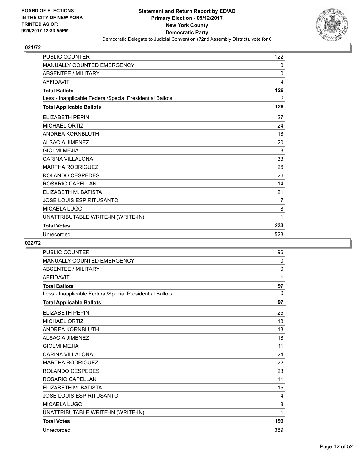

| <b>PUBLIC COUNTER</b>                                    | 122 |
|----------------------------------------------------------|-----|
| MANUALLY COUNTED EMERGENCY                               | 0   |
| <b>ABSENTEE / MILITARY</b>                               | 0   |
| <b>AFFIDAVIT</b>                                         | 4   |
| <b>Total Ballots</b>                                     | 126 |
| Less - Inapplicable Federal/Special Presidential Ballots | 0   |
| <b>Total Applicable Ballots</b>                          | 126 |
| <b>ELIZABETH PEPIN</b>                                   | 27  |
| <b>MICHAEL ORTIZ</b>                                     | 24  |
| ANDREA KORNBLUTH                                         | 18  |
| <b>ALSACIA JIMENEZ</b>                                   | 20  |
| <b>GIOLMI MEJIA</b>                                      | 8   |
| <b>CARINA VILLALONA</b>                                  | 33  |
| <b>MARTHA RODRIGUEZ</b>                                  | 26  |
| ROLANDO CESPEDES                                         | 26  |
| ROSARIO CAPELLAN                                         | 14  |
| ELIZABETH M. BATISTA                                     | 21  |
| <b>JOSE LOUIS ESPIRITUSANTO</b>                          | 7   |
| MICAELA LUGO                                             | 8   |
| UNATTRIBUTABLE WRITE-IN (WRITE-IN)                       | 1   |
| <b>Total Votes</b>                                       | 233 |
| Unrecorded                                               | 523 |

| <b>PUBLIC COUNTER</b>                                    | 96           |
|----------------------------------------------------------|--------------|
| MANUALLY COUNTED EMERGENCY                               | 0            |
| <b>ABSENTEE / MILITARY</b>                               | 0            |
| AFFIDAVIT                                                | 1            |
| <b>Total Ballots</b>                                     | 97           |
| Less - Inapplicable Federal/Special Presidential Ballots | $\mathbf{0}$ |
| <b>Total Applicable Ballots</b>                          | 97           |
| <b>ELIZABETH PEPIN</b>                                   | 25           |
| <b>MICHAEL ORTIZ</b>                                     | 18           |
| ANDREA KORNBLUTH                                         | 13           |
| <b>ALSACIA JIMENEZ</b>                                   | 18           |
| <b>GIOLMI MEJIA</b>                                      | 11           |
| <b>CARINA VILLALONA</b>                                  | 24           |
| <b>MARTHA RODRIGUEZ</b>                                  | 22           |
| ROLANDO CESPEDES                                         | 23           |
| ROSARIO CAPELLAN                                         | 11           |
| ELIZABETH M. BATISTA                                     | 15           |
| JOSE LOUIS ESPIRITUSANTO                                 | 4            |
| <b>MICAELA LUGO</b>                                      | 8            |
| UNATTRIBUTABLE WRITE-IN (WRITE-IN)                       | 1            |
| <b>Total Votes</b>                                       | 193          |
| Unrecorded                                               | 389          |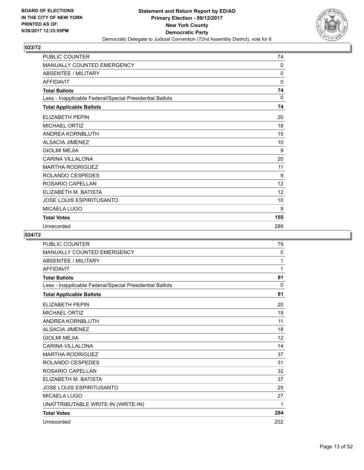

| <b>PUBLIC COUNTER</b>                                    | 74       |
|----------------------------------------------------------|----------|
| MANUALLY COUNTED EMERGENCY                               | 0        |
| <b>ABSENTEE / MILITARY</b>                               | 0        |
| <b>AFFIDAVIT</b>                                         | $\Omega$ |
| <b>Total Ballots</b>                                     | 74       |
| Less - Inapplicable Federal/Special Presidential Ballots | $\Omega$ |
| <b>Total Applicable Ballots</b>                          | 74       |
| ELIZABETH PEPIN                                          | 20       |
| <b>MICHAEL ORTIZ</b>                                     | 18       |
| <b>ANDREA KORNBLUTH</b>                                  | 15       |
| <b>ALSACIA JIMENEZ</b>                                   | 10       |
| <b>GIOLMI MEJIA</b>                                      | 9        |
| <b>CARINA VILLALONA</b>                                  | 20       |
| <b>MARTHA RODRIGUEZ</b>                                  | 11       |
| ROLANDO CESPEDES                                         | 9        |
| ROSARIO CAPELLAN                                         | 12       |
| ELIZABETH M. BATISTA                                     | 12       |
| JOSE LOUIS ESPIRITUSANTO                                 | 10       |
| MICAELA LUGO                                             | 9        |
| <b>Total Votes</b>                                       | 155      |
| Unrecorded                                               | 289      |

| <b>PUBLIC COUNTER</b>                                    | 79       |
|----------------------------------------------------------|----------|
| <b>MANUALLY COUNTED EMERGENCY</b>                        | 0        |
| <b>ABSENTEE / MILITARY</b>                               | 1        |
| <b>AFFIDAVIT</b>                                         | 1        |
| <b>Total Ballots</b>                                     | 81       |
| Less - Inapplicable Federal/Special Presidential Ballots | $\Omega$ |
| <b>Total Applicable Ballots</b>                          | 81       |
| ELIZABETH PEPIN                                          | 20       |
| <b>MICHAEL ORTIZ</b>                                     | 19       |
| ANDREA KORNBLUTH                                         | 11       |
| <b>ALSACIA JIMENEZ</b>                                   | 18       |
| <b>GIOLMI MEJIA</b>                                      | 12       |
| <b>CARINA VILLALONA</b>                                  | 14       |
| <b>MARTHA RODRIGUEZ</b>                                  | 37       |
| ROLANDO CESPEDES                                         | 31       |
| ROSARIO CAPELLAN                                         | 32       |
| ELIZABETH M. BATISTA                                     | 37       |
| JOSE LOUIS ESPIRITUSANTO                                 | 25       |
| <b>MICAELA LUGO</b>                                      | 27       |
| UNATTRIBUTABLE WRITE-IN (WRITE-IN)                       | 1        |
| <b>Total Votes</b>                                       | 284      |
| Unrecorded                                               | 202      |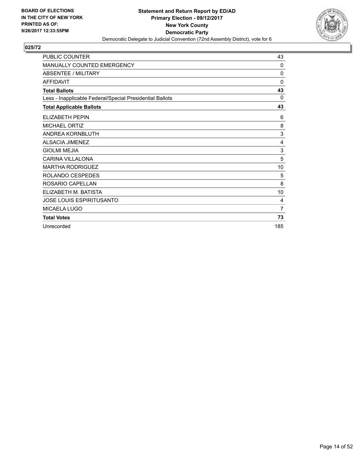

| <b>PUBLIC COUNTER</b>                                    | 43             |
|----------------------------------------------------------|----------------|
| MANUALLY COUNTED EMERGENCY                               | 0              |
| <b>ABSENTEE / MILITARY</b>                               | 0              |
| <b>AFFIDAVIT</b>                                         | 0              |
| <b>Total Ballots</b>                                     | 43             |
| Less - Inapplicable Federal/Special Presidential Ballots | $\Omega$       |
| <b>Total Applicable Ballots</b>                          | 43             |
| <b>ELIZABETH PEPIN</b>                                   | 6              |
| <b>MICHAEL ORTIZ</b>                                     | 8              |
| ANDREA KORNBLUTH                                         | 3              |
| <b>ALSACIA JIMENEZ</b>                                   | 4              |
| <b>GIOLMI MEJIA</b>                                      | 3              |
| <b>CARINA VILLALONA</b>                                  | 5              |
| <b>MARTHA RODRIGUEZ</b>                                  | 10             |
| ROLANDO CESPEDES                                         | 5              |
| ROSARIO CAPELLAN                                         | 8              |
| ELIZABETH M. BATISTA                                     | 10             |
| JOSE LOUIS ESPIRITUSANTO                                 | 4              |
| MICAELA LUGO                                             | $\overline{7}$ |
| <b>Total Votes</b>                                       | 73             |
| Unrecorded                                               | 185            |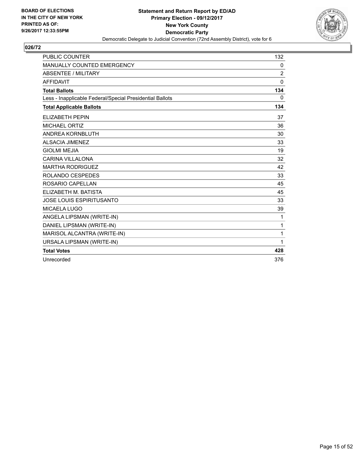

| <b>PUBLIC COUNTER</b>                                    | 132          |
|----------------------------------------------------------|--------------|
| MANUALLY COUNTED EMERGENCY                               | 0            |
| <b>ABSENTEE / MILITARY</b>                               | 2            |
| <b>AFFIDAVIT</b>                                         | 0            |
| <b>Total Ballots</b>                                     | 134          |
| Less - Inapplicable Federal/Special Presidential Ballots | $\mathbf{0}$ |
| <b>Total Applicable Ballots</b>                          | 134          |
| <b>ELIZABETH PEPIN</b>                                   | 37           |
| <b>MICHAEL ORTIZ</b>                                     | 36           |
| ANDREA KORNBLUTH                                         | 30           |
| <b>ALSACIA JIMENEZ</b>                                   | 33           |
| <b>GIOLMI MEJIA</b>                                      | 19           |
| <b>CARINA VILLALONA</b>                                  | 32           |
| <b>MARTHA RODRIGUEZ</b>                                  | 42           |
| ROLANDO CESPEDES                                         | 33           |
| ROSARIO CAPELLAN                                         | 45           |
| ELIZABETH M. BATISTA                                     | 45           |
| <b>JOSE LOUIS ESPIRITUSANTO</b>                          | 33           |
| <b>MICAELA LUGO</b>                                      | 39           |
| ANGELA LIPSMAN (WRITE-IN)                                | 1            |
| DANIEL LIPSMAN (WRITE-IN)                                | 1            |
| MARISOL ALCANTRA (WRITE-IN)                              | 1            |
| URSALA LIPSMAN (WRITE-IN)                                | 1            |
| <b>Total Votes</b>                                       | 428          |
| Unrecorded                                               | 376          |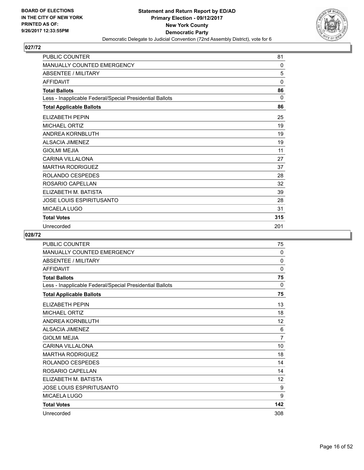

| PUBLIC COUNTER                                           | 81           |
|----------------------------------------------------------|--------------|
| MANUALLY COUNTED EMERGENCY                               | $\mathbf{0}$ |
| <b>ABSENTEE / MILITARY</b>                               | 5            |
| <b>AFFIDAVIT</b>                                         | $\mathbf{0}$ |
| <b>Total Ballots</b>                                     | 86           |
| Less - Inapplicable Federal/Special Presidential Ballots | $\Omega$     |
| <b>Total Applicable Ballots</b>                          | 86           |
| ELIZABETH PEPIN                                          | 25           |
| <b>MICHAEL ORTIZ</b>                                     | 19           |
| ANDREA KORNBLUTH                                         | 19           |
| <b>ALSACIA JIMENEZ</b>                                   | 19           |
| <b>GIOLMI MEJIA</b>                                      | 11           |
| <b>CARINA VILLALONA</b>                                  | 27           |
| <b>MARTHA RODRIGUEZ</b>                                  | 37           |
| ROLANDO CESPEDES                                         | 28           |
| ROSARIO CAPELLAN                                         | 32           |
| ELIZABETH M. BATISTA                                     | 39           |
| JOSE LOUIS ESPIRITUSANTO                                 | 28           |
| MICAELA LUGO                                             | 31           |
| <b>Total Votes</b>                                       | 315          |
| Unrecorded                                               | 201          |

| <b>PUBLIC COUNTER</b>                                    | 75             |
|----------------------------------------------------------|----------------|
| <b>MANUALLY COUNTED EMERGENCY</b>                        | 0              |
| <b>ABSENTEE / MILITARY</b>                               | 0              |
| <b>AFFIDAVIT</b>                                         | 0              |
| <b>Total Ballots</b>                                     | 75             |
| Less - Inapplicable Federal/Special Presidential Ballots | 0              |
| <b>Total Applicable Ballots</b>                          | 75             |
| ELIZABETH PEPIN                                          | 13             |
| <b>MICHAEL ORTIZ</b>                                     | 18             |
| ANDREA KORNBLUTH                                         | 12             |
| <b>ALSACIA JIMENEZ</b>                                   | 6              |
| <b>GIOLMI MEJIA</b>                                      | $\overline{7}$ |
| <b>CARINA VILLALONA</b>                                  | 10             |
| <b>MARTHA RODRIGUEZ</b>                                  | 18             |
| ROLANDO CESPEDES                                         | 14             |
| ROSARIO CAPELLAN                                         | 14             |
| ELIZABETH M. BATISTA                                     | 12             |
| <b>JOSE LOUIS ESPIRITUSANTO</b>                          | 9              |
| MICAELA LUGO                                             | 9              |
| <b>Total Votes</b>                                       | 142            |
| Unrecorded                                               | 308            |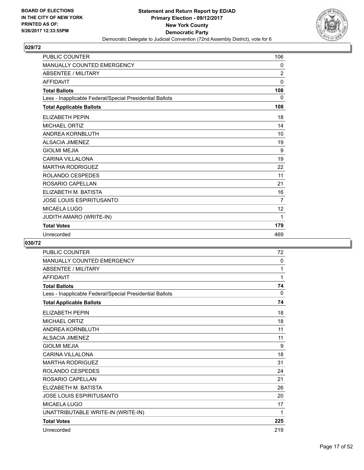

| <b>PUBLIC COUNTER</b>                                    | 106            |
|----------------------------------------------------------|----------------|
| <b>MANUALLY COUNTED EMERGENCY</b>                        | 0              |
| <b>ABSENTEE / MILITARY</b>                               | $\overline{2}$ |
| <b>AFFIDAVIT</b>                                         | 0              |
| <b>Total Ballots</b>                                     | 108            |
| Less - Inapplicable Federal/Special Presidential Ballots | $\mathbf{0}$   |
| <b>Total Applicable Ballots</b>                          | 108            |
| <b>ELIZABETH PEPIN</b>                                   | 18             |
| <b>MICHAEL ORTIZ</b>                                     | 14             |
| <b>ANDREA KORNBLUTH</b>                                  | 10             |
| <b>ALSACIA JIMENEZ</b>                                   | 19             |
| <b>GIOLMI MEJIA</b>                                      | 9              |
| <b>CARINA VILLALONA</b>                                  | 19             |
| <b>MARTHA RODRIGUEZ</b>                                  | 22             |
| ROLANDO CESPEDES                                         | 11             |
| ROSARIO CAPELLAN                                         | 21             |
| ELIZABETH M. BATISTA                                     | 16             |
| <b>JOSE LOUIS ESPIRITUSANTO</b>                          | 7              |
| MICAELA LUGO                                             | 12             |
| JUDITH AMARO (WRITE-IN)                                  | 1              |
| <b>Total Votes</b>                                       | 179            |
| Unrecorded                                               | 469            |

| <b>PUBLIC COUNTER</b>                                    | 72           |
|----------------------------------------------------------|--------------|
| MANUALLY COUNTED EMERGENCY                               | $\mathbf{0}$ |
| <b>ABSENTEE / MILITARY</b>                               | 1            |
| <b>AFFIDAVIT</b>                                         | 1            |
| <b>Total Ballots</b>                                     | 74           |
| Less - Inapplicable Federal/Special Presidential Ballots | 0            |
| <b>Total Applicable Ballots</b>                          | 74           |
| <b>ELIZABETH PEPIN</b>                                   | 18           |
| <b>MICHAEL ORTIZ</b>                                     | 18           |
| ANDREA KORNBLUTH                                         | 11           |
| <b>ALSACIA JIMENEZ</b>                                   | 11           |
| <b>GIOLMI MEJIA</b>                                      | 9            |
| <b>CARINA VILLALONA</b>                                  | 18           |
| <b>MARTHA RODRIGUEZ</b>                                  | 31           |
| <b>ROLANDO CESPEDES</b>                                  | 24           |
| ROSARIO CAPELLAN                                         | 21           |
| ELIZABETH M. BATISTA                                     | 26           |
| <b>JOSE LOUIS ESPIRITUSANTO</b>                          | 20           |
| <b>MICAELA LUGO</b>                                      | 17           |
| UNATTRIBUTABLE WRITE-IN (WRITE-IN)                       | 1            |
| <b>Total Votes</b>                                       | 225          |
| Unrecorded                                               | 219          |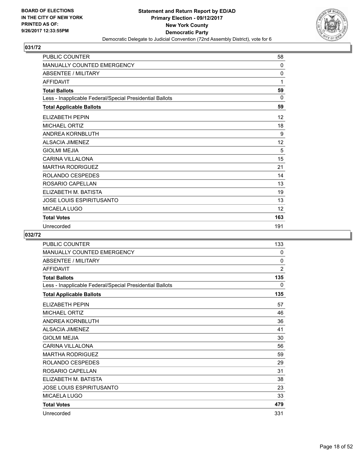

| PUBLIC COUNTER                                           | 58           |
|----------------------------------------------------------|--------------|
| MANUALLY COUNTED EMERGENCY                               | $\mathbf{0}$ |
| <b>ABSENTEE / MILITARY</b>                               | 0            |
| <b>AFFIDAVIT</b>                                         | 1            |
| <b>Total Ballots</b>                                     | 59           |
| Less - Inapplicable Federal/Special Presidential Ballots | $\Omega$     |
| <b>Total Applicable Ballots</b>                          | 59           |
| <b>ELIZABETH PEPIN</b>                                   | 12           |
| <b>MICHAEL ORTIZ</b>                                     | 18           |
| <b>ANDREA KORNBLUTH</b>                                  | 9            |
| <b>ALSACIA JIMENEZ</b>                                   | 12           |
| <b>GIOLMI MEJIA</b>                                      | 5            |
| <b>CARINA VILLALONA</b>                                  | 15           |
| <b>MARTHA RODRIGUEZ</b>                                  | 21           |
| ROLANDO CESPEDES                                         | 14           |
| ROSARIO CAPELLAN                                         | 13           |
| ELIZABETH M. BATISTA                                     | 19           |
| JOSE LOUIS ESPIRITUSANTO                                 | 13           |
| MICAELA LUGO                                             | 12           |
| <b>Total Votes</b>                                       | 163          |
| Unrecorded                                               | 191          |

| PUBLIC COUNTER                                           | 133            |
|----------------------------------------------------------|----------------|
| <b>MANUALLY COUNTED EMERGENCY</b>                        | 0              |
| <b>ABSENTEE / MILITARY</b>                               | 0              |
| <b>AFFIDAVIT</b>                                         | $\overline{2}$ |
| <b>Total Ballots</b>                                     | 135            |
| Less - Inapplicable Federal/Special Presidential Ballots | $\mathbf{0}$   |
| <b>Total Applicable Ballots</b>                          | 135            |
| <b>ELIZABETH PEPIN</b>                                   | 57             |
| <b>MICHAEL ORTIZ</b>                                     | 46             |
| ANDREA KORNBLUTH                                         | 36             |
| <b>ALSACIA JIMENEZ</b>                                   | 41             |
| <b>GIOLMI MEJIA</b>                                      | 30             |
| CARINA VII LAI ONA                                       | 56             |
| <b>MARTHA RODRIGUEZ</b>                                  | 59             |
| ROLANDO CESPEDES                                         | 29             |
| ROSARIO CAPELLAN                                         | 31             |
| ELIZABETH M. BATISTA                                     | 38             |
| <b>JOSE LOUIS ESPIRITUSANTO</b>                          | 23             |
| <b>MICAELA LUGO</b>                                      | 33             |
| <b>Total Votes</b>                                       | 479            |
| Unrecorded                                               | 331            |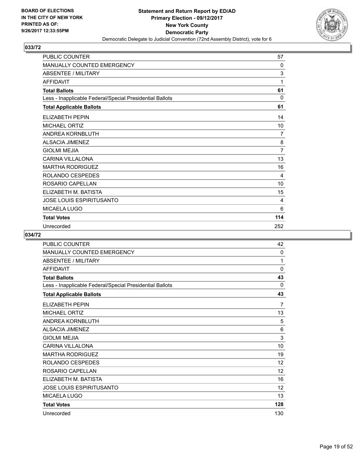

| PUBLIC COUNTER                                           | 57           |
|----------------------------------------------------------|--------------|
| MANUALLY COUNTED EMERGENCY                               | $\mathbf{0}$ |
| <b>ABSENTEE / MILITARY</b>                               | 3            |
| <b>AFFIDAVIT</b>                                         | 1            |
| <b>Total Ballots</b>                                     | 61           |
| Less - Inapplicable Federal/Special Presidential Ballots | $\Omega$     |
| <b>Total Applicable Ballots</b>                          | 61           |
| <b>ELIZABETH PEPIN</b>                                   | 14           |
| <b>MICHAEL ORTIZ</b>                                     | 10           |
| ANDREA KORNBLUTH                                         | 7            |
| <b>ALSACIA JIMENEZ</b>                                   | 8            |
| <b>GIOLMI MEJIA</b>                                      | 7            |
| <b>CARINA VILLALONA</b>                                  | 13           |
| <b>MARTHA RODRIGUEZ</b>                                  | 16           |
| ROLANDO CESPEDES                                         | 4            |
| ROSARIO CAPELLAN                                         | 10           |
| ELIZABETH M. BATISTA                                     | 15           |
| JOSE LOUIS ESPIRITUSANTO                                 | 4            |
| MICAELA LUGO                                             | 6            |
| <b>Total Votes</b>                                       | 114          |
| Unrecorded                                               | 252          |

| <b>PUBLIC COUNTER</b>                                    | 42                |
|----------------------------------------------------------|-------------------|
| <b>MANUALLY COUNTED EMERGENCY</b>                        | $\mathbf{0}$      |
| <b>ABSENTEE / MILITARY</b>                               | 1                 |
| <b>AFFIDAVIT</b>                                         | 0                 |
| <b>Total Ballots</b>                                     | 43                |
| Less - Inapplicable Federal/Special Presidential Ballots | $\Omega$          |
| <b>Total Applicable Ballots</b>                          | 43                |
| <b>ELIZABETH PEPIN</b>                                   | 7                 |
| <b>MICHAEL ORTIZ</b>                                     | 13                |
| ANDREA KORNBLUTH                                         | 5                 |
| <b>ALSACIA JIMENEZ</b>                                   | 6                 |
| <b>GIOLMI MEJIA</b>                                      | 3                 |
| <b>CARINA VILLALONA</b>                                  | 10                |
| <b>MARTHA RODRIGUEZ</b>                                  | 19                |
| <b>ROLANDO CESPEDES</b>                                  | 12                |
| ROSARIO CAPELLAN                                         | $12 \overline{ }$ |
| ELIZABETH M. BATISTA                                     | 16                |
| <b>JOSE LOUIS ESPIRITUSANTO</b>                          | 12                |
| <b>MICAELA LUGO</b>                                      | 13                |
| <b>Total Votes</b>                                       | 128               |
| Unrecorded                                               | 130               |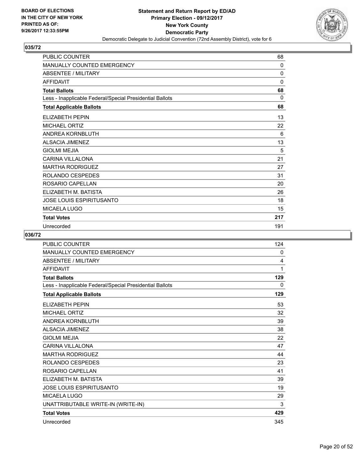

| PUBLIC COUNTER                                           | 68           |
|----------------------------------------------------------|--------------|
| MANUALLY COUNTED EMERGENCY                               | 0            |
| <b>ABSENTEE / MILITARY</b>                               | 0            |
| <b>AFFIDAVIT</b>                                         | $\mathbf{0}$ |
| <b>Total Ballots</b>                                     | 68           |
| Less - Inapplicable Federal/Special Presidential Ballots | $\Omega$     |
| <b>Total Applicable Ballots</b>                          | 68           |
| <b>ELIZABETH PEPIN</b>                                   | 13           |
| <b>MICHAEL ORTIZ</b>                                     | 22           |
| ANDREA KORNBLUTH                                         | 6            |
| <b>ALSACIA JIMENEZ</b>                                   | 13           |
| <b>GIOLMI MEJIA</b>                                      | 5            |
| <b>CARINA VILLALONA</b>                                  | 21           |
| <b>MARTHA RODRIGUEZ</b>                                  | 27           |
| ROLANDO CESPEDES                                         | 31           |
| ROSARIO CAPELLAN                                         | 20           |
| ELIZABETH M. BATISTA                                     | 26           |
| JOSE LOUIS ESPIRITUSANTO                                 | 18           |
| MICAELA LUGO                                             | 15           |
| <b>Total Votes</b>                                       | 217          |
| Unrecorded                                               | 191          |

| <b>PUBLIC COUNTER</b>                                    | 124          |
|----------------------------------------------------------|--------------|
| MANUALLY COUNTED EMERGENCY                               | 0            |
| <b>ABSENTEE / MILITARY</b>                               | 4            |
| <b>AFFIDAVIT</b>                                         | 1            |
| <b>Total Ballots</b>                                     | 129          |
| Less - Inapplicable Federal/Special Presidential Ballots | $\mathbf{0}$ |
| <b>Total Applicable Ballots</b>                          | 129          |
| <b>ELIZABETH PEPIN</b>                                   | 53           |
| <b>MICHAEL ORTIZ</b>                                     | 32           |
| ANDREA KORNBLUTH                                         | 39           |
| <b>ALSACIA JIMENEZ</b>                                   | 38           |
| <b>GIOLMI MEJIA</b>                                      | 22           |
| CARINA VII LAI ONA                                       | 47           |
| <b>MARTHA RODRIGUEZ</b>                                  | 44           |
| ROLANDO CESPEDES                                         | 23           |
| ROSARIO CAPELLAN                                         | 41           |
| ELIZABETH M. BATISTA                                     | 39           |
| <b>JOSE LOUIS ESPIRITUSANTO</b>                          | 19           |
| <b>MICAELA LUGO</b>                                      | 29           |
| UNATTRIBUTABLE WRITE-IN (WRITE-IN)                       | 3            |
| <b>Total Votes</b>                                       | 429          |
| Unrecorded                                               | 345          |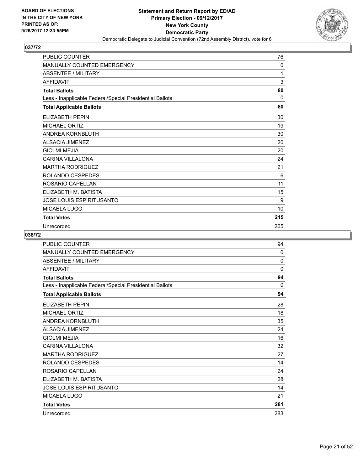

| <b>PUBLIC COUNTER</b>                                    | 76           |
|----------------------------------------------------------|--------------|
| <b>MANUALLY COUNTED EMERGENCY</b>                        | $\mathbf{0}$ |
| <b>ABSENTEE / MILITARY</b>                               | 1            |
| <b>AFFIDAVIT</b>                                         | 3            |
| <b>Total Ballots</b>                                     | 80           |
| Less - Inapplicable Federal/Special Presidential Ballots | $\Omega$     |
| <b>Total Applicable Ballots</b>                          | 80           |
| <b>ELIZABETH PEPIN</b>                                   | 30           |
| <b>MICHAEL ORTIZ</b>                                     | 19           |
| ANDREA KORNBLUTH                                         | 30           |
| <b>ALSACIA JIMENEZ</b>                                   | 20           |
| <b>GIOLMI MEJIA</b>                                      | 20           |
| <b>CARINA VILLALONA</b>                                  | 24           |
| <b>MARTHA RODRIGUEZ</b>                                  | 21           |
| ROLANDO CESPEDES                                         | 6            |
| ROSARIO CAPELLAN                                         | 11           |
| ELIZABETH M. BATISTA                                     | 15           |
| <b>JOSE LOUIS ESPIRITUSANTO</b>                          | 9            |
| MICAELA LUGO                                             | 10           |
| <b>Total Votes</b>                                       | 215          |
| Unrecorded                                               | 265          |

| <b>PUBLIC COUNTER</b>                                    | 94       |
|----------------------------------------------------------|----------|
| <b>MANUALLY COUNTED EMERGENCY</b>                        | 0        |
| <b>ABSENTEE / MILITARY</b>                               | 0        |
| <b>AFFIDAVIT</b>                                         | 0        |
| <b>Total Ballots</b>                                     | 94       |
| Less - Inapplicable Federal/Special Presidential Ballots | $\Omega$ |
| <b>Total Applicable Ballots</b>                          | 94       |
| ELIZABETH PEPIN                                          | 28       |
| <b>MICHAEL ORTIZ</b>                                     | 18       |
| ANDREA KORNBLUTH                                         | 35       |
| <b>ALSACIA JIMENEZ</b>                                   | 24       |
| <b>GIOLMI MEJIA</b>                                      | 16       |
| <b>CARINA VILLALONA</b>                                  | 32       |
| <b>MARTHA RODRIGUEZ</b>                                  | 27       |
| ROLANDO CESPEDES                                         | 14       |
| ROSARIO CAPELLAN                                         | 24       |
| ELIZABETH M. BATISTA                                     | 28       |
| <b>JOSE LOUIS ESPIRITUSANTO</b>                          | 14       |
| MICAELA LUGO                                             | 21       |
| <b>Total Votes</b>                                       | 281      |
| Unrecorded                                               | 283      |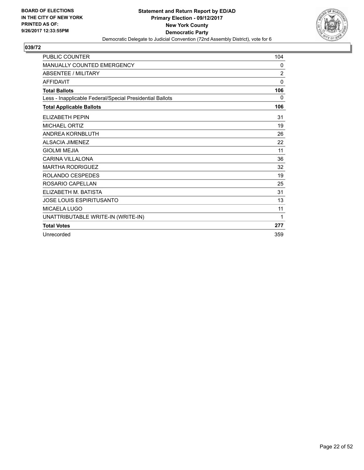

| <b>PUBLIC COUNTER</b>                                    | 104            |
|----------------------------------------------------------|----------------|
| <b>MANUALLY COUNTED EMERGENCY</b>                        | 0              |
| <b>ABSENTEE / MILITARY</b>                               | $\overline{2}$ |
| <b>AFFIDAVIT</b>                                         | $\Omega$       |
| <b>Total Ballots</b>                                     | 106            |
| Less - Inapplicable Federal/Special Presidential Ballots | 0              |
| <b>Total Applicable Ballots</b>                          | 106            |
| <b>ELIZABETH PEPIN</b>                                   | 31             |
| <b>MICHAEL ORTIZ</b>                                     | 19             |
| <b>ANDREA KORNBLUTH</b>                                  | 26             |
| ALSACIA JIMENEZ                                          | 22             |
| <b>GIOLMI MEJIA</b>                                      | 11             |
| <b>CARINA VILLALONA</b>                                  | 36             |
| <b>MARTHA RODRIGUEZ</b>                                  | 32             |
| ROLANDO CESPEDES                                         | 19             |
| ROSARIO CAPELLAN                                         | 25             |
| ELIZABETH M. BATISTA                                     | 31             |
| <b>JOSE LOUIS ESPIRITUSANTO</b>                          | 13             |
| <b>MICAELA LUGO</b>                                      | 11             |
| UNATTRIBUTABLE WRITE-IN (WRITE-IN)                       | 1              |
| <b>Total Votes</b>                                       | 277            |
| Unrecorded                                               | 359            |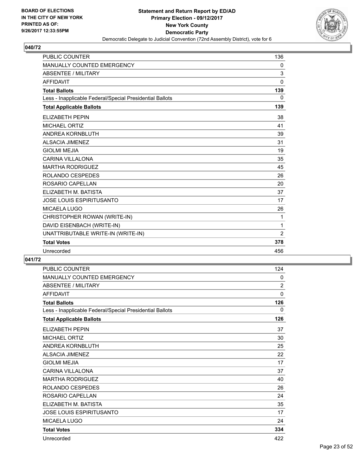

| <b>PUBLIC COUNTER</b>                                    | 136          |
|----------------------------------------------------------|--------------|
| <b>MANUALLY COUNTED EMERGENCY</b>                        | 0            |
| <b>ABSENTEE / MILITARY</b>                               | 3            |
| <b>AFFIDAVIT</b>                                         | $\mathbf{0}$ |
| <b>Total Ballots</b>                                     | 139          |
| Less - Inapplicable Federal/Special Presidential Ballots | 0            |
| <b>Total Applicable Ballots</b>                          | 139          |
| <b>ELIZABETH PEPIN</b>                                   | 38           |
| <b>MICHAEL ORTIZ</b>                                     | 41           |
| <b>ANDREA KORNBLUTH</b>                                  | 39           |
| <b>ALSACIA JIMENEZ</b>                                   | 31           |
| <b>GIOLMI MEJIA</b>                                      | 19           |
| <b>CARINA VILLALONA</b>                                  | 35           |
| <b>MARTHA RODRIGUEZ</b>                                  | 45           |
| ROLANDO CESPEDES                                         | 26           |
| ROSARIO CAPELLAN                                         | 20           |
| ELIZABETH M. BATISTA                                     | 37           |
| JOSE LOUIS ESPIRITUSANTO                                 | 17           |
| <b>MICAELA LUGO</b>                                      | 26           |
| CHRISTOPHER ROWAN (WRITE-IN)                             | 1            |
| DAVID EISENBACH (WRITE-IN)                               | 1            |
| UNATTRIBUTABLE WRITE-IN (WRITE-IN)                       | 2            |
| <b>Total Votes</b>                                       | 378          |
| Unrecorded                                               | 456          |

| PUBLIC COUNTER                                           | 124            |
|----------------------------------------------------------|----------------|
| <b>MANUALLY COUNTED EMERGENCY</b>                        | $\mathbf{0}$   |
| <b>ABSENTEE / MILITARY</b>                               | $\overline{2}$ |
| <b>AFFIDAVIT</b>                                         | $\mathbf{0}$   |
| <b>Total Ballots</b>                                     | 126            |
| Less - Inapplicable Federal/Special Presidential Ballots | 0              |
| <b>Total Applicable Ballots</b>                          | 126            |
| <b>ELIZABETH PEPIN</b>                                   | 37             |
| <b>MICHAEL ORTIZ</b>                                     | 30             |
| ANDREA KORNBLUTH                                         | 25             |
| <b>ALSACIA JIMENEZ</b>                                   | 22             |
| <b>GIOLMI MEJIA</b>                                      | 17             |
| <b>CARINA VILLALONA</b>                                  | 37             |
| <b>MARTHA RODRIGUEZ</b>                                  | 40             |
| ROLANDO CESPEDES                                         | 26             |
| ROSARIO CAPELLAN                                         | 24             |
| ELIZABETH M. BATISTA                                     | 35             |
| <b>JOSE LOUIS ESPIRITUSANTO</b>                          | 17             |
| <b>MICAELA LUGO</b>                                      | 24             |
| <b>Total Votes</b>                                       | 334            |
| Unrecorded                                               | 422            |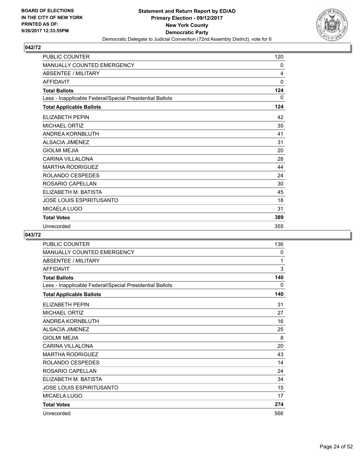

| <b>PUBLIC COUNTER</b>                                    | 120          |
|----------------------------------------------------------|--------------|
| MANUALLY COUNTED EMERGENCY                               | 0            |
| <b>ABSENTEE / MILITARY</b>                               | 4            |
| <b>AFFIDAVIT</b>                                         | $\mathbf{0}$ |
| <b>Total Ballots</b>                                     | 124          |
| Less - Inapplicable Federal/Special Presidential Ballots | 0            |
| <b>Total Applicable Ballots</b>                          | 124          |
| ELIZABETH PEPIN                                          | 42           |
| <b>MICHAEL ORTIZ</b>                                     | 35           |
| ANDREA KORNBLUTH                                         | 41           |
| <b>ALSACIA JIMENEZ</b>                                   | 31           |
| <b>GIOLMI MEJIA</b>                                      | 20           |
| <b>CARINA VILLALONA</b>                                  | 28           |
| <b>MARTHA RODRIGUEZ</b>                                  | 44           |
| ROLANDO CESPEDES                                         | 24           |
| ROSARIO CAPELLAN                                         | 30           |
| ELIZABETH M. BATISTA                                     | 45           |
| JOSE LOUIS ESPIRITUSANTO                                 | 18           |
| MICAELA LUGO                                             | 31           |
| <b>Total Votes</b>                                       | 389          |
| Unrecorded                                               | 355          |

| PUBLIC COUNTER                                           | 136 |
|----------------------------------------------------------|-----|
| <b>MANUALLY COUNTED EMERGENCY</b>                        | 0   |
| <b>ABSENTEE / MILITARY</b>                               | 1   |
| <b>AFFIDAVIT</b>                                         | 3   |
| <b>Total Ballots</b>                                     | 140 |
| Less - Inapplicable Federal/Special Presidential Ballots | 0   |
| <b>Total Applicable Ballots</b>                          | 140 |
| <b>ELIZABETH PEPIN</b>                                   | 31  |
| <b>MICHAEL ORTIZ</b>                                     | 27  |
| ANDREA KORNBLUTH                                         | 16  |
| <b>ALSACIA JIMENEZ</b>                                   | 25  |
| <b>GIOLMI MEJIA</b>                                      | 8   |
| <b>CARINA VILLALONA</b>                                  | 20  |
| <b>MARTHA RODRIGUEZ</b>                                  | 43  |
| ROLANDO CESPEDES                                         | 14  |
| ROSARIO CAPELLAN                                         | 24  |
| ELIZABETH M. BATISTA                                     | 34  |
| <b>JOSE LOUIS ESPIRITUSANTO</b>                          | 15  |
| <b>MICAELA LUGO</b>                                      | 17  |
| <b>Total Votes</b>                                       | 274 |
| Unrecorded                                               | 566 |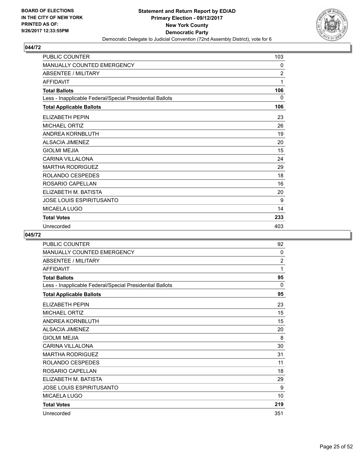

| <b>PUBLIC COUNTER</b>                                    | 103            |
|----------------------------------------------------------|----------------|
| <b>MANUALLY COUNTED EMERGENCY</b>                        | 0              |
| <b>ABSENTEE / MILITARY</b>                               | $\overline{2}$ |
| <b>AFFIDAVIT</b>                                         | 1              |
| <b>Total Ballots</b>                                     | 106            |
| Less - Inapplicable Federal/Special Presidential Ballots | 0              |
| <b>Total Applicable Ballots</b>                          | 106            |
| <b>ELIZABETH PEPIN</b>                                   | 23             |
| <b>MICHAEL ORTIZ</b>                                     | 26             |
| ANDREA KORNBLUTH                                         | 19             |
| <b>ALSACIA JIMENEZ</b>                                   | 20             |
| <b>GIOLMI MEJIA</b>                                      | 15             |
| <b>CARINA VILLALONA</b>                                  | 24             |
| <b>MARTHA RODRIGUEZ</b>                                  | 29             |
| ROLANDO CESPEDES                                         | 18             |
| ROSARIO CAPELLAN                                         | 16             |
| ELIZABETH M. BATISTA                                     | 20             |
| <b>JOSE LOUIS ESPIRITUSANTO</b>                          | 9              |
| MICAELA LUGO                                             | 14             |
| <b>Total Votes</b>                                       | 233            |
| Unrecorded                                               | 403            |

| PUBLIC COUNTER                                           | 92             |
|----------------------------------------------------------|----------------|
| MANUALLY COUNTED EMERGENCY                               | 0              |
| <b>ABSENTEE / MILITARY</b>                               | $\overline{2}$ |
| <b>AFFIDAVIT</b>                                         | 1              |
| <b>Total Ballots</b>                                     | 95             |
| Less - Inapplicable Federal/Special Presidential Ballots | 0              |
| <b>Total Applicable Ballots</b>                          | 95             |
| <b>ELIZABETH PEPIN</b>                                   | 23             |
| <b>MICHAEL ORTIZ</b>                                     | 15             |
| ANDREA KORNBLUTH                                         | 15             |
| <b>ALSACIA JIMENEZ</b>                                   | 20             |
| <b>GIOLMI MEJIA</b>                                      | 8              |
| <b>CARINA VILLALONA</b>                                  | 30             |
| <b>MARTHA RODRIGUEZ</b>                                  | 31             |
| ROLANDO CESPEDES                                         | 11             |
| ROSARIO CAPELLAN                                         | 18             |
| ELIZABETH M. BATISTA                                     | 29             |
| <b>JOSE LOUIS ESPIRITUSANTO</b>                          | 9              |
| <b>MICAELA LUGO</b>                                      | 10             |
| <b>Total Votes</b>                                       | 219            |
| Unrecorded                                               | 351            |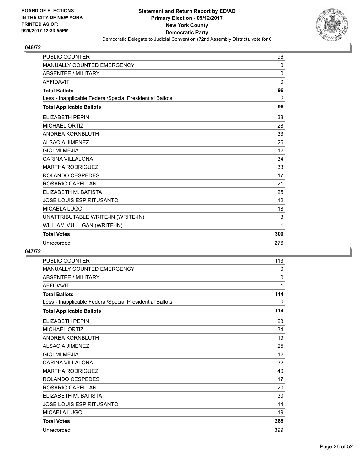

| <b>PUBLIC COUNTER</b>                                    | 96           |
|----------------------------------------------------------|--------------|
| <b>MANUALLY COUNTED EMERGENCY</b>                        | 0            |
| <b>ABSENTEE / MILITARY</b>                               | $\mathbf 0$  |
| <b>AFFIDAVIT</b>                                         | $\Omega$     |
| <b>Total Ballots</b>                                     | 96           |
| Less - Inapplicable Federal/Special Presidential Ballots | $\mathbf{0}$ |
| <b>Total Applicable Ballots</b>                          | 96           |
| <b>ELIZABETH PEPIN</b>                                   | 38           |
| <b>MICHAEL ORTIZ</b>                                     | 28           |
| <b>ANDREA KORNBLUTH</b>                                  | 33           |
| <b>ALSACIA JIMENEZ</b>                                   | 25           |
| <b>GIOLMI MEJIA</b>                                      | 12           |
| <b>CARINA VILLALONA</b>                                  | 34           |
| <b>MARTHA RODRIGUEZ</b>                                  | 33           |
| ROLANDO CESPEDES                                         | 17           |
| ROSARIO CAPELLAN                                         | 21           |
| ELIZABETH M. BATISTA                                     | 25           |
| JOSE LOUIS ESPIRITUSANTO                                 | 12           |
| <b>MICAELA LUGO</b>                                      | 18           |
| UNATTRIBUTABLE WRITE-IN (WRITE-IN)                       | $\mathsf 3$  |
| WILLIAM MULLIGAN (WRITE-IN)                              | 1            |
| <b>Total Votes</b>                                       | 300          |
| Unrecorded                                               | 276          |

| <b>PUBLIC COUNTER</b>                                    | 113 |
|----------------------------------------------------------|-----|
| <b>MANUALLY COUNTED EMERGENCY</b>                        | 0   |
| <b>ABSENTEE / MILITARY</b>                               | 0   |
| <b>AFFIDAVIT</b>                                         | 1   |
| <b>Total Ballots</b>                                     | 114 |
| Less - Inapplicable Federal/Special Presidential Ballots | 0   |
| <b>Total Applicable Ballots</b>                          | 114 |
| <b>ELIZABETH PEPIN</b>                                   | 23  |
| <b>MICHAEL ORTIZ</b>                                     | 34  |
| ANDREA KORNBLUTH                                         | 19  |
| <b>ALSACIA JIMENEZ</b>                                   | 25  |
| <b>GIOLMI MEJIA</b>                                      | 12  |
| <b>CARINA VILLALONA</b>                                  | 32  |
| <b>MARTHA RODRIGUEZ</b>                                  | 40  |
| ROLANDO CESPEDES                                         | 17  |
| ROSARIO CAPELLAN                                         | 20  |
| ELIZABETH M. BATISTA                                     | 30  |
| <b>JOSE LOUIS ESPIRITUSANTO</b>                          | 14  |
| <b>MICAELA LUGO</b>                                      | 19  |
| <b>Total Votes</b>                                       | 285 |
| Unrecorded                                               | 399 |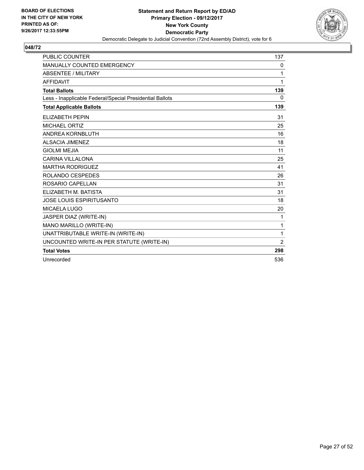

| <b>PUBLIC COUNTER</b>                                    | 137 |
|----------------------------------------------------------|-----|
| MANUALLY COUNTED EMERGENCY                               | 0   |
| <b>ABSENTEE / MILITARY</b>                               | 1   |
| <b>AFFIDAVIT</b>                                         | 1   |
| <b>Total Ballots</b>                                     | 139 |
| Less - Inapplicable Federal/Special Presidential Ballots | 0   |
| <b>Total Applicable Ballots</b>                          | 139 |
| <b>ELIZABETH PEPIN</b>                                   | 31  |
| <b>MICHAEL ORTIZ</b>                                     | 25  |
| ANDREA KORNBLUTH                                         | 16  |
| <b>ALSACIA JIMENEZ</b>                                   | 18  |
| <b>GIOLMI MEJIA</b>                                      | 11  |
| <b>CARINA VILLALONA</b>                                  | 25  |
| <b>MARTHA RODRIGUEZ</b>                                  | 41  |
| ROLANDO CESPEDES                                         | 26  |
| ROSARIO CAPELLAN                                         | 31  |
| ELIZABETH M. BATISTA                                     | 31  |
| <b>JOSE LOUIS ESPIRITUSANTO</b>                          | 18  |
| <b>MICAELA LUGO</b>                                      | 20  |
| JASPER DIAZ (WRITE-IN)                                   | 1   |
| MANO MARILLO (WRITE-IN)                                  | 1   |
| UNATTRIBUTABLE WRITE-IN (WRITE-IN)                       | 1   |
| UNCOUNTED WRITE-IN PER STATUTE (WRITE-IN)                | 2   |
| <b>Total Votes</b>                                       | 298 |
| Unrecorded                                               | 536 |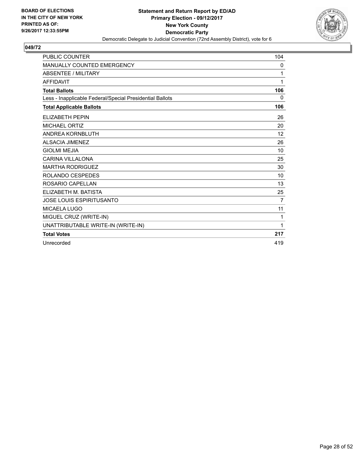

| <b>PUBLIC COUNTER</b>                                    | 104               |
|----------------------------------------------------------|-------------------|
| MANUALLY COUNTED EMERGENCY                               | 0                 |
| <b>ABSENTEE / MILITARY</b>                               | 1                 |
| <b>AFFIDAVIT</b>                                         | 1                 |
| <b>Total Ballots</b>                                     | 106               |
| Less - Inapplicable Federal/Special Presidential Ballots | 0                 |
| <b>Total Applicable Ballots</b>                          | 106               |
| <b>ELIZABETH PEPIN</b>                                   | 26                |
| MICHAEL ORTIZ                                            | 20                |
| <b>ANDREA KORNBLUTH</b>                                  | $12 \overline{ }$ |
| <b>ALSACIA JIMENEZ</b>                                   | 26                |
| <b>GIOLMI MEJIA</b>                                      | 10                |
| <b>CARINA VILLALONA</b>                                  | 25                |
| <b>MARTHA RODRIGUEZ</b>                                  | 30                |
| ROLANDO CESPEDES                                         | 10                |
| ROSARIO CAPELLAN                                         | 13                |
| ELIZABETH M. BATISTA                                     | 25                |
| <b>JOSE LOUIS ESPIRITUSANTO</b>                          | $\overline{7}$    |
| <b>MICAELA LUGO</b>                                      | 11                |
| MIGUEL CRUZ (WRITE-IN)                                   | 1                 |
| UNATTRIBUTABLE WRITE-IN (WRITE-IN)                       | 1                 |
| <b>Total Votes</b>                                       | 217               |
| Unrecorded                                               | 419               |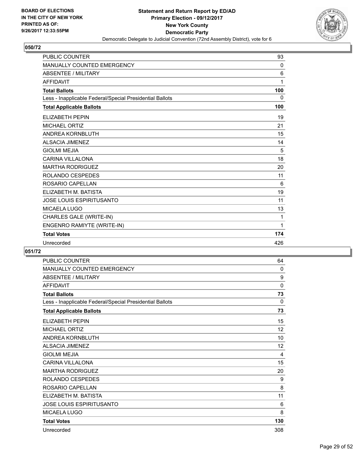

| <b>PUBLIC COUNTER</b>                                    | 93  |
|----------------------------------------------------------|-----|
| MANUALLY COUNTED EMERGENCY                               | 0   |
| <b>ABSENTEE / MILITARY</b>                               | 6   |
| <b>AFFIDAVIT</b>                                         | 1   |
| <b>Total Ballots</b>                                     | 100 |
| Less - Inapplicable Federal/Special Presidential Ballots | 0   |
| <b>Total Applicable Ballots</b>                          | 100 |
| <b>ELIZABETH PEPIN</b>                                   | 19  |
| <b>MICHAEL ORTIZ</b>                                     | 21  |
| <b>ANDREA KORNBLUTH</b>                                  | 15  |
| <b>ALSACIA JIMENEZ</b>                                   | 14  |
| <b>GIOLMI MEJIA</b>                                      | 5   |
| <b>CARINA VILLALONA</b>                                  | 18  |
| <b>MARTHA RODRIGUEZ</b>                                  | 20  |
| ROLANDO CESPEDES                                         | 11  |
| ROSARIO CAPELLAN                                         | 6   |
| ELIZABETH M. BATISTA                                     | 19  |
| <b>JOSE LOUIS ESPIRITUSANTO</b>                          | 11  |
| MICAELA LUGO                                             | 13  |
| CHARLES GALE (WRITE-IN)                                  | 1   |
| ENGENRO RAMIYTE (WRITE-IN)                               | 1   |
| <b>Total Votes</b>                                       | 174 |
| Unrecorded                                               | 426 |

| <b>PUBLIC COUNTER</b>                                    | 64          |
|----------------------------------------------------------|-------------|
| <b>MANUALLY COUNTED EMERGENCY</b>                        | $\Omega$    |
| <b>ABSENTEE / MILITARY</b>                               | 9           |
| <b>AFFIDAVIT</b>                                         | $\mathbf 0$ |
| <b>Total Ballots</b>                                     | 73          |
| Less - Inapplicable Federal/Special Presidential Ballots | $\Omega$    |
| <b>Total Applicable Ballots</b>                          | 73          |
| ELIZABETH PEPIN                                          | 15          |
| <b>MICHAEL ORTIZ</b>                                     | 12          |
| ANDREA KORNBLUTH                                         | 10          |
| <b>ALSACIA JIMENEZ</b>                                   | 12          |
| <b>GIOLMI MEJIA</b>                                      | 4           |
| <b>CARINA VILLALONA</b>                                  | 15          |
| <b>MARTHA RODRIGUEZ</b>                                  | 20          |
| ROLANDO CESPEDES                                         | 9           |
| ROSARIO CAPELLAN                                         | 8           |
| ELIZABETH M. BATISTA                                     | 11          |
| <b>JOSE LOUIS ESPIRITUSANTO</b>                          | 6           |
| <b>MICAELA LUGO</b>                                      | 8           |
| <b>Total Votes</b>                                       | 130         |
| Unrecorded                                               | 308         |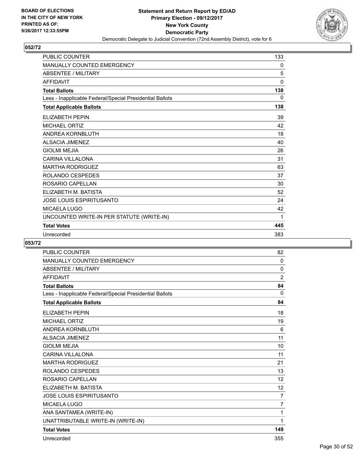

| <b>PUBLIC COUNTER</b>                                    | 133      |
|----------------------------------------------------------|----------|
| <b>MANUALLY COUNTED EMERGENCY</b>                        | 0        |
| <b>ABSENTEE / MILITARY</b>                               | 5        |
| <b>AFFIDAVIT</b>                                         | $\Omega$ |
| <b>Total Ballots</b>                                     | 138      |
| Less - Inapplicable Federal/Special Presidential Ballots | 0        |
| <b>Total Applicable Ballots</b>                          | 138      |
| <b>ELIZABETH PEPIN</b>                                   | 39       |
| <b>MICHAEL ORTIZ</b>                                     | 42       |
| ANDREA KORNBLUTH                                         | 18       |
| <b>ALSACIA JIMENEZ</b>                                   | 40       |
| <b>GIOLMI MEJIA</b>                                      | 26       |
| <b>CARINA VILLALONA</b>                                  | 31       |
| <b>MARTHA RODRIGUEZ</b>                                  | 63       |
| <b>ROLANDO CESPEDES</b>                                  | 37       |
| ROSARIO CAPELLAN                                         | 30       |
| ELIZABETH M. BATISTA                                     | 52       |
| <b>JOSE LOUIS ESPIRITUSANTO</b>                          | 24       |
| <b>MICAELA LUGO</b>                                      | 42       |
| UNCOUNTED WRITE-IN PER STATUTE (WRITE-IN)                | 1        |
| <b>Total Votes</b>                                       | 445      |
| Unrecorded                                               | 383      |

| <b>PUBLIC COUNTER</b>                                    | 82             |
|----------------------------------------------------------|----------------|
| <b>MANUALLY COUNTED EMERGENCY</b>                        | 0              |
| <b>ABSENTEE / MILITARY</b>                               | 0              |
| <b>AFFIDAVIT</b>                                         | 2              |
| <b>Total Ballots</b>                                     | 84             |
| Less - Inapplicable Federal/Special Presidential Ballots | 0              |
| <b>Total Applicable Ballots</b>                          | 84             |
| <b>ELIZABETH PEPIN</b>                                   | 18             |
| <b>MICHAEL ORTIZ</b>                                     | 19             |
| ANDREA KORNBLUTH                                         | 6              |
| <b>ALSACIA JIMENEZ</b>                                   | 11             |
| <b>GIOLMI MEJIA</b>                                      | 10             |
| <b>CARINA VILLALONA</b>                                  | 11             |
| <b>MARTHA RODRIGUEZ</b>                                  | 21             |
| ROLANDO CESPEDES                                         | 13             |
| ROSARIO CAPELLAN                                         | 12             |
| ELIZABETH M. BATISTA                                     | 12             |
| <b>JOSE LOUIS ESPIRITUSANTO</b>                          | $\overline{7}$ |
| MICAELA LUGO                                             | $\overline{7}$ |
| ANA SANTAMEA (WRITE-IN)                                  | 1              |
| UNATTRIBUTABLE WRITE-IN (WRITE-IN)                       | 1              |
| <b>Total Votes</b>                                       | 149            |
| Unrecorded                                               | 355            |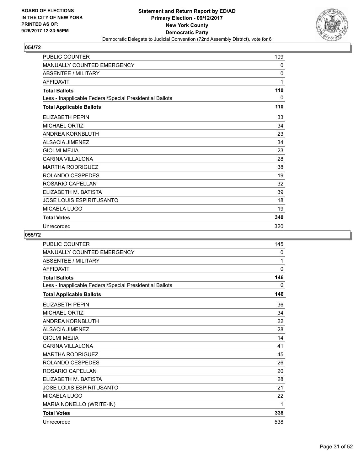

| <b>PUBLIC COUNTER</b>                                    | 109 |
|----------------------------------------------------------|-----|
| <b>MANUALLY COUNTED EMERGENCY</b>                        | 0   |
| <b>ABSENTEE / MILITARY</b>                               | 0   |
| <b>AFFIDAVIT</b>                                         | 1   |
| <b>Total Ballots</b>                                     | 110 |
| Less - Inapplicable Federal/Special Presidential Ballots | 0   |
| <b>Total Applicable Ballots</b>                          | 110 |
| <b>ELIZABETH PEPIN</b>                                   | 33  |
| <b>MICHAEL ORTIZ</b>                                     | 34  |
| <b>ANDREA KORNBLUTH</b>                                  | 23  |
| <b>ALSACIA JIMENEZ</b>                                   | 34  |
| <b>GIOLMI MEJIA</b>                                      | 23  |
| <b>CARINA VILLALONA</b>                                  | 28  |
| <b>MARTHA RODRIGUEZ</b>                                  | 38  |
| ROLANDO CESPEDES                                         | 19  |
| ROSARIO CAPELLAN                                         | 32  |
| ELIZABETH M. BATISTA                                     | 39  |
| <b>JOSE LOUIS ESPIRITUSANTO</b>                          | 18  |
| MICAELA LUGO                                             | 19  |
| <b>Total Votes</b>                                       | 340 |
| Unrecorded                                               | 320 |

| <b>PUBLIC COUNTER</b>                                    | 145      |
|----------------------------------------------------------|----------|
| MANUALLY COUNTED EMERGENCY                               | 0        |
| <b>ABSENTEE / MILITARY</b>                               | 1        |
| <b>AFFIDAVIT</b>                                         | $\Omega$ |
| <b>Total Ballots</b>                                     | 146      |
| Less - Inapplicable Federal/Special Presidential Ballots | 0        |
| <b>Total Applicable Ballots</b>                          | 146      |
| <b>ELIZABETH PEPIN</b>                                   | 36       |
| <b>MICHAEL ORTIZ</b>                                     | 34       |
| ANDREA KORNBLUTH                                         | 22       |
| <b>ALSACIA JIMENEZ</b>                                   | 28       |
| <b>GIOLMI MEJIA</b>                                      | 14       |
| <b>CARINA VILLALONA</b>                                  | 41       |
| <b>MARTHA RODRIGUEZ</b>                                  | 45       |
| ROLANDO CESPEDES                                         | 26       |
| ROSARIO CAPELLAN                                         | 20       |
| ELIZABETH M. BATISTA                                     | 28       |
| <b>JOSE LOUIS ESPIRITUSANTO</b>                          | 21       |
| <b>MICAELA LUGO</b>                                      | 22       |
| MARIA NONELLO (WRITE-IN)                                 | 1        |
| <b>Total Votes</b>                                       | 338      |
| Unrecorded                                               | 538      |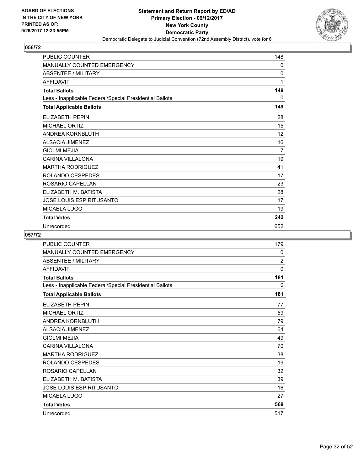

| <b>PUBLIC COUNTER</b>                                    | 148 |
|----------------------------------------------------------|-----|
| <b>MANUALLY COUNTED EMERGENCY</b>                        | 0   |
| <b>ABSENTEE / MILITARY</b>                               | 0   |
| <b>AFFIDAVIT</b>                                         | 1   |
| <b>Total Ballots</b>                                     | 149 |
| Less - Inapplicable Federal/Special Presidential Ballots | 0   |
| <b>Total Applicable Ballots</b>                          | 149 |
| <b>ELIZABETH PEPIN</b>                                   | 28  |
| <b>MICHAEL ORTIZ</b>                                     | 15  |
| <b>ANDREA KORNBLUTH</b>                                  | 12  |
| <b>ALSACIA JIMENEZ</b>                                   | 16  |
| <b>GIOLMI MEJIA</b>                                      | 7   |
| <b>CARINA VILLALONA</b>                                  | 19  |
| <b>MARTHA RODRIGUEZ</b>                                  | 41  |
| ROLANDO CESPEDES                                         | 17  |
| ROSARIO CAPELLAN                                         | 23  |
| ELIZABETH M. BATISTA                                     | 28  |
| <b>JOSE LOUIS ESPIRITUSANTO</b>                          | 17  |
| MICAELA LUGO                                             | 19  |
| <b>Total Votes</b>                                       | 242 |
| Unrecorded                                               | 652 |

| PUBLIC COUNTER                                           | 179 |
|----------------------------------------------------------|-----|
| <b>MANUALLY COUNTED EMERGENCY</b>                        | 0   |
| <b>ABSENTEE / MILITARY</b>                               | 2   |
| <b>AFFIDAVIT</b>                                         | 0   |
| <b>Total Ballots</b>                                     | 181 |
| Less - Inapplicable Federal/Special Presidential Ballots | 0   |
| <b>Total Applicable Ballots</b>                          | 181 |
| <b>ELIZABETH PEPIN</b>                                   | 77  |
| <b>MICHAEL ORTIZ</b>                                     | 59  |
| ANDREA KORNBLUTH                                         | 79  |
| <b>ALSACIA JIMENEZ</b>                                   | 64  |
| <b>GIOLMI MEJIA</b>                                      | 49  |
| <b>CARINA VILLALONA</b>                                  | 70  |
| <b>MARTHA RODRIGUEZ</b>                                  | 38  |
| ROLANDO CESPEDES                                         | 19  |
| ROSARIO CAPELLAN                                         | 32  |
| ELIZABETH M. BATISTA                                     | 39  |
| <b>JOSE LOUIS ESPIRITUSANTO</b>                          | 16  |
| <b>MICAELA LUGO</b>                                      | 27  |
| <b>Total Votes</b>                                       | 569 |
| Unrecorded                                               | 517 |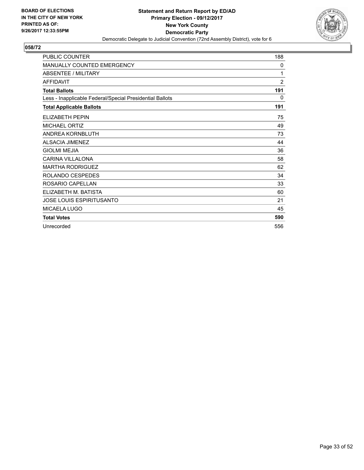

| PUBLIC COUNTER                                           | 188            |
|----------------------------------------------------------|----------------|
| MANUALLY COUNTED EMERGENCY                               | $\mathbf{0}$   |
| <b>ABSENTEE / MILITARY</b>                               | 1              |
| <b>AFFIDAVIT</b>                                         | $\overline{2}$ |
| <b>Total Ballots</b>                                     | 191            |
| Less - Inapplicable Federal/Special Presidential Ballots | 0              |
| <b>Total Applicable Ballots</b>                          | 191            |
| <b>ELIZABETH PEPIN</b>                                   | 75             |
| <b>MICHAEL ORTIZ</b>                                     | 49             |
| ANDREA KORNBLUTH                                         | 73             |
| <b>ALSACIA JIMENEZ</b>                                   | 44             |
| <b>GIOLMI MEJIA</b>                                      | 36             |
| <b>CARINA VILLALONA</b>                                  | 58             |
| <b>MARTHA RODRIGUEZ</b>                                  | 62             |
| ROLANDO CESPEDES                                         | 34             |
| ROSARIO CAPELLAN                                         | 33             |
| ELIZABETH M. BATISTA                                     | 60             |
| <b>JOSE LOUIS ESPIRITUSANTO</b>                          | 21             |
| <b>MICAELA LUGO</b>                                      | 45             |
| <b>Total Votes</b>                                       | 590            |
| Unrecorded                                               | 556            |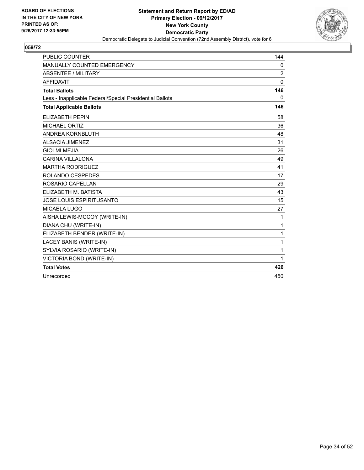

| <b>PUBLIC COUNTER</b>                                    | 144            |
|----------------------------------------------------------|----------------|
| MANUALLY COUNTED EMERGENCY                               | 0              |
| <b>ABSENTEE / MILITARY</b>                               | $\overline{2}$ |
| <b>AFFIDAVIT</b>                                         | $\Omega$       |
| <b>Total Ballots</b>                                     | 146            |
| Less - Inapplicable Federal/Special Presidential Ballots | $\mathbf{0}$   |
| <b>Total Applicable Ballots</b>                          | 146            |
| <b>ELIZABETH PEPIN</b>                                   | 58             |
| <b>MICHAEL ORTIZ</b>                                     | 36             |
| ANDREA KORNBLUTH                                         | 48             |
| <b>ALSACIA JIMENEZ</b>                                   | 31             |
| <b>GIOLMI MEJIA</b>                                      | 26             |
| <b>CARINA VILLALONA</b>                                  | 49             |
| <b>MARTHA RODRIGUEZ</b>                                  | 41             |
| ROLANDO CESPEDES                                         | 17             |
| ROSARIO CAPELLAN                                         | 29             |
| ELIZABETH M. BATISTA                                     | 43             |
| <b>JOSE LOUIS ESPIRITUSANTO</b>                          | 15             |
| <b>MICAELA LUGO</b>                                      | 27             |
| AISHA LEWIS-MCCOY (WRITE-IN)                             | 1              |
| DIANA CHU (WRITE-IN)                                     | 1              |
| ELIZABETH BENDER (WRITE-IN)                              | 1              |
| LACEY BANIS (WRITE-IN)                                   | 1              |
| SYLVIA ROSARIO (WRITE-IN)                                | 1              |
| VICTORIA BOND (WRITE-IN)                                 | 1              |
| <b>Total Votes</b>                                       | 426            |
| Unrecorded                                               | 450            |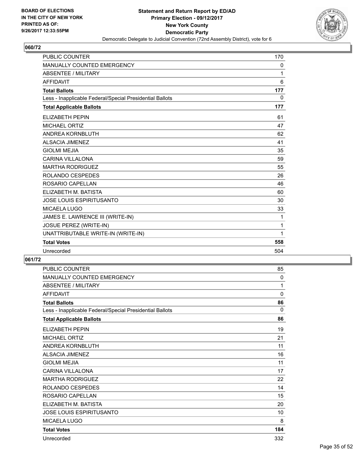

| <b>PUBLIC COUNTER</b>                                    | 170      |
|----------------------------------------------------------|----------|
| MANUALLY COUNTED EMERGENCY                               | 0        |
| <b>ABSENTEE / MILITARY</b>                               | 1        |
| <b>AFFIDAVIT</b>                                         | 6        |
| <b>Total Ballots</b>                                     | 177      |
| Less - Inapplicable Federal/Special Presidential Ballots | $\Omega$ |
| <b>Total Applicable Ballots</b>                          | 177      |
| <b>ELIZABETH PEPIN</b>                                   | 61       |
| <b>MICHAEL ORTIZ</b>                                     | 47       |
| ANDREA KORNBLUTH                                         | 62       |
| <b>ALSACIA JIMENEZ</b>                                   | 41       |
| <b>GIOLMI MEJIA</b>                                      | 35       |
| <b>CARINA VILLALONA</b>                                  | 59       |
| <b>MARTHA RODRIGUEZ</b>                                  | 55       |
| ROLANDO CESPEDES                                         | 26       |
| ROSARIO CAPELLAN                                         | 46       |
| ELIZABETH M. BATISTA                                     | 60       |
| JOSE LOUIS ESPIRITUSANTO                                 | 30       |
| <b>MICAELA LUGO</b>                                      | 33       |
| JAMES E. LAWRENCE III (WRITE-IN)                         | 1        |
| JOSUE PEREZ (WRITE-IN)                                   | 1        |
| UNATTRIBUTABLE WRITE-IN (WRITE-IN)                       | 1        |
| <b>Total Votes</b>                                       | 558      |
| Unrecorded                                               | 504      |

| PUBLIC COUNTER                                           | 85           |
|----------------------------------------------------------|--------------|
| MANUALLY COUNTED EMERGENCY                               | 0            |
| <b>ABSENTEE / MILITARY</b>                               | 1            |
| AFFIDAVIT                                                | $\mathbf{0}$ |
| <b>Total Ballots</b>                                     | 86           |
| Less - Inapplicable Federal/Special Presidential Ballots | 0            |
| <b>Total Applicable Ballots</b>                          | 86           |
| ELIZABETH PEPIN                                          | 19           |
| <b>MICHAEL ORTIZ</b>                                     | 21           |
| ANDREA KORNBLUTH                                         | 11           |
| <b>ALSACIA JIMENEZ</b>                                   | 16           |
| <b>GIOLMI MEJIA</b>                                      | 11           |
| <b>CARINA VILLALONA</b>                                  | 17           |
| <b>MARTHA RODRIGUEZ</b>                                  | 22           |
| ROLANDO CESPEDES                                         | 14           |
| ROSARIO CAPELLAN                                         | 15           |
| ELIZABETH M. BATISTA                                     | 20           |
| JOSE LOUIS ESPIRITUSANTO                                 | 10           |
| MICAELA LUGO                                             | 8            |
| <b>Total Votes</b>                                       | 184          |
| Unrecorded                                               | 332          |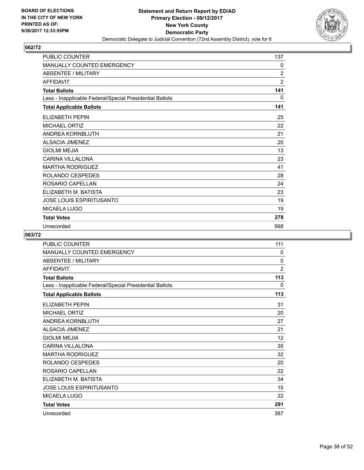

| <b>PUBLIC COUNTER</b>                                    | 137            |
|----------------------------------------------------------|----------------|
| <b>MANUALLY COUNTED EMERGENCY</b>                        | 0              |
| <b>ABSENTEE / MILITARY</b>                               | $\overline{2}$ |
| <b>AFFIDAVIT</b>                                         | $\overline{2}$ |
| <b>Total Ballots</b>                                     | 141            |
| Less - Inapplicable Federal/Special Presidential Ballots | 0              |
| <b>Total Applicable Ballots</b>                          | 141            |
| <b>ELIZABETH PEPIN</b>                                   | 25             |
| <b>MICHAEL ORTIZ</b>                                     | 22             |
| <b>ANDREA KORNBLUTH</b>                                  | 21             |
| <b>ALSACIA JIMENEZ</b>                                   | 20             |
| <b>GIOLMI MEJIA</b>                                      | 13             |
| <b>CARINA VILLALONA</b>                                  | 23             |
| <b>MARTHA RODRIGUEZ</b>                                  | 41             |
| ROLANDO CESPEDES                                         | 28             |
| ROSARIO CAPELLAN                                         | 24             |
| ELIZABETH M. BATISTA                                     | 23             |
| <b>JOSE LOUIS ESPIRITUSANTO</b>                          | 19             |
| MICAELA LUGO                                             | 19             |
| <b>Total Votes</b>                                       | 278            |
| Unrecorded                                               | 568            |

| PUBLIC COUNTER                                           | 111            |
|----------------------------------------------------------|----------------|
| <b>MANUALLY COUNTED EMERGENCY</b>                        | 0              |
| <b>ABSENTEE / MILITARY</b>                               | 0              |
| <b>AFFIDAVIT</b>                                         | $\overline{2}$ |
| <b>Total Ballots</b>                                     | 113            |
| Less - Inapplicable Federal/Special Presidential Ballots | 0              |
| <b>Total Applicable Ballots</b>                          | 113            |
| <b>ELIZABETH PEPIN</b>                                   | 31             |
| <b>MICHAEL ORTIZ</b>                                     | 20             |
| ANDREA KORNBLUTH                                         | 27             |
| <b>ALSACIA JIMENEZ</b>                                   | 21             |
| <b>GIOLMI MEJIA</b>                                      | 12             |
| CARINA VII LAI ONA                                       | 35             |
| <b>MARTHA RODRIGUEZ</b>                                  | 32             |
| ROLANDO CESPEDES                                         | 20             |
| ROSARIO CAPELLAN                                         | 22             |
| ELIZABETH M. BATISTA                                     | 34             |
| <b>JOSE LOUIS ESPIRITUSANTO</b>                          | 15             |
| <b>MICAELA LUGO</b>                                      | 22             |
| <b>Total Votes</b>                                       | 291            |
| Unrecorded                                               | 387            |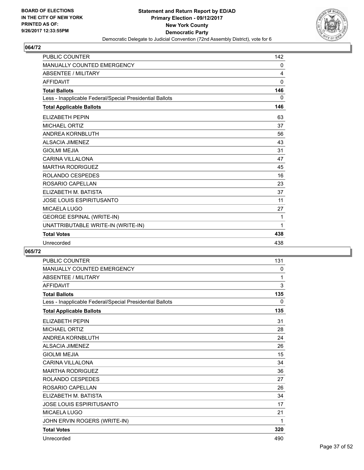

| <b>PUBLIC COUNTER</b>                                    | 142          |
|----------------------------------------------------------|--------------|
| <b>MANUALLY COUNTED EMERGENCY</b>                        | 0            |
| <b>ABSENTEE / MILITARY</b>                               | 4            |
| <b>AFFIDAVIT</b>                                         | $\mathbf{0}$ |
| <b>Total Ballots</b>                                     | 146          |
| Less - Inapplicable Federal/Special Presidential Ballots | $\Omega$     |
| <b>Total Applicable Ballots</b>                          | 146          |
| <b>ELIZABETH PEPIN</b>                                   | 63           |
| <b>MICHAEL ORTIZ</b>                                     | 37           |
| <b>ANDREA KORNBLUTH</b>                                  | 56           |
| <b>ALSACIA JIMENEZ</b>                                   | 43           |
| <b>GIOLMI MEJIA</b>                                      | 31           |
| <b>CARINA VILLALONA</b>                                  | 47           |
| <b>MARTHA RODRIGUEZ</b>                                  | 45           |
| ROLANDO CESPEDES                                         | 16           |
| ROSARIO CAPELLAN                                         | 23           |
| ELIZABETH M. BATISTA                                     | 37           |
| JOSE LOUIS ESPIRITUSANTO                                 | 11           |
| <b>MICAELA LUGO</b>                                      | 27           |
| <b>GEORGE ESPINAL (WRITE-IN)</b>                         | 1            |
| UNATTRIBUTABLE WRITE-IN (WRITE-IN)                       | 1            |
| <b>Total Votes</b>                                       | 438          |
| Unrecorded                                               | 438          |

| <b>PUBLIC COUNTER</b>                                    | 131 |
|----------------------------------------------------------|-----|
| <b>MANUALLY COUNTED EMERGENCY</b>                        | 0   |
| <b>ABSENTEE / MILITARY</b>                               | 1   |
| <b>AFFIDAVIT</b>                                         | 3   |
| <b>Total Ballots</b>                                     | 135 |
| Less - Inapplicable Federal/Special Presidential Ballots | 0   |
| <b>Total Applicable Ballots</b>                          | 135 |
| <b>ELIZABETH PEPIN</b>                                   | 31  |
| <b>MICHAEL ORTIZ</b>                                     | 28  |
| ANDREA KORNBLUTH                                         | 24  |
| <b>ALSACIA JIMENEZ</b>                                   | 26  |
| <b>GIOLMI MEJIA</b>                                      | 15  |
| <b>CARINA VILLALONA</b>                                  | 34  |
| <b>MARTHA RODRIGUEZ</b>                                  | 36  |
| <b>ROLANDO CESPEDES</b>                                  | 27  |
| ROSARIO CAPELLAN                                         | 26  |
| ELIZABETH M. BATISTA                                     | 34  |
| <b>JOSE LOUIS ESPIRITUSANTO</b>                          | 17  |
| <b>MICAELA LUGO</b>                                      | 21  |
| JOHN ERVIN ROGERS (WRITE-IN)                             | 1   |
| <b>Total Votes</b>                                       | 320 |
| Unrecorded                                               | 490 |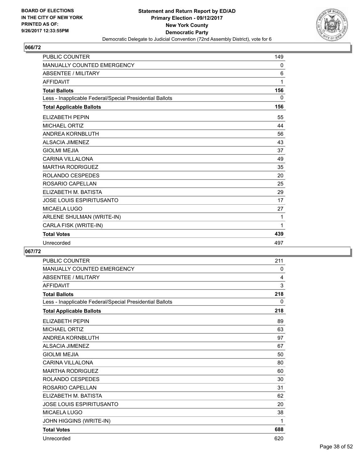

| <b>PUBLIC COUNTER</b>                                    | 149 |
|----------------------------------------------------------|-----|
| <b>MANUALLY COUNTED EMERGENCY</b>                        | 0   |
| <b>ABSENTEE / MILITARY</b>                               | 6   |
| <b>AFFIDAVIT</b>                                         | 1   |
| <b>Total Ballots</b>                                     | 156 |
| Less - Inapplicable Federal/Special Presidential Ballots | 0   |
| <b>Total Applicable Ballots</b>                          | 156 |
| <b>ELIZABETH PEPIN</b>                                   | 55  |
| <b>MICHAEL ORTIZ</b>                                     | 44  |
| <b>ANDREA KORNBLUTH</b>                                  | 56  |
| <b>ALSACIA JIMENEZ</b>                                   | 43  |
| <b>GIOLMI MEJIA</b>                                      | 37  |
| <b>CARINA VILLALONA</b>                                  | 49  |
| <b>MARTHA RODRIGUEZ</b>                                  | 35  |
| ROLANDO CESPEDES                                         | 20  |
| ROSARIO CAPELLAN                                         | 25  |
| ELIZABETH M. BATISTA                                     | 29  |
| <b>JOSE LOUIS ESPIRITUSANTO</b>                          | 17  |
| MICAELA LUGO                                             | 27  |
| ARLENE SHULMAN (WRITE-IN)                                | 1   |
| CARLA FISK (WRITE-IN)                                    | 1   |
| <b>Total Votes</b>                                       | 439 |
| Unrecorded                                               | 497 |

| <b>PUBLIC COUNTER</b>                                    | 211 |
|----------------------------------------------------------|-----|
| <b>MANUALLY COUNTED EMERGENCY</b>                        | 0   |
| <b>ABSENTEE / MILITARY</b>                               | 4   |
| <b>AFFIDAVIT</b>                                         | 3   |
| <b>Total Ballots</b>                                     | 218 |
| Less - Inapplicable Federal/Special Presidential Ballots | 0   |
| <b>Total Applicable Ballots</b>                          | 218 |
| <b>ELIZABETH PEPIN</b>                                   | 89  |
| <b>MICHAEL ORTIZ</b>                                     | 63  |
| <b>ANDREA KORNBLUTH</b>                                  | 97  |
| <b>ALSACIA JIMENEZ</b>                                   | 67  |
| <b>GIOLMI MEJIA</b>                                      | 50  |
| <b>CARINA VILLALONA</b>                                  | 80  |
| <b>MARTHA RODRIGUEZ</b>                                  | 60  |
| <b>ROLANDO CESPEDES</b>                                  | 30  |
| ROSARIO CAPELLAN                                         | 31  |
| ELIZABETH M. BATISTA                                     | 62  |
| <b>JOSE LOUIS ESPIRITUSANTO</b>                          | 20  |
| <b>MICAELA LUGO</b>                                      | 38  |
| JOHN HIGGINS (WRITE-IN)                                  | 1   |
| <b>Total Votes</b>                                       | 688 |
| Unrecorded                                               | 620 |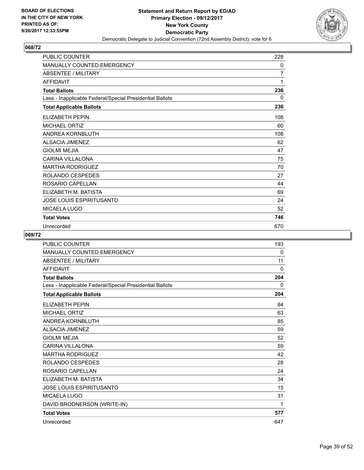

| <b>PUBLIC COUNTER</b>                                    | 228 |
|----------------------------------------------------------|-----|
| <b>MANUALLY COUNTED EMERGENCY</b>                        | 0   |
| <b>ABSENTEE / MILITARY</b>                               | 7   |
| <b>AFFIDAVIT</b>                                         | 1   |
| <b>Total Ballots</b>                                     | 236 |
| Less - Inapplicable Federal/Special Presidential Ballots | 0   |
| <b>Total Applicable Ballots</b>                          | 236 |
| <b>ELIZABETH PEPIN</b>                                   | 108 |
| <b>MICHAEL ORTIZ</b>                                     | 60  |
| ANDREA KORNBLUTH                                         | 108 |
| <b>ALSACIA JIMENEZ</b>                                   | 62  |
| <b>GIOLMI MEJIA</b>                                      | 47  |
| <b>CARINA VILLALONA</b>                                  | 75  |
| <b>MARTHA RODRIGUEZ</b>                                  | 70  |
| ROLANDO CESPEDES                                         | 27  |
| ROSARIO CAPELLAN                                         | 44  |
| ELIZABETH M. BATISTA                                     | 69  |
| <b>JOSE LOUIS ESPIRITUSANTO</b>                          | 24  |
| MICAELA LUGO                                             | 52  |
| <b>Total Votes</b>                                       | 746 |
| Unrecorded                                               | 670 |

| <b>PUBLIC COUNTER</b>                                    | 193          |
|----------------------------------------------------------|--------------|
| MANUALLY COUNTED EMERGENCY                               | $\mathbf{0}$ |
| <b>ABSENTEE / MILITARY</b>                               | 11           |
| <b>AFFIDAVIT</b>                                         | $\Omega$     |
| <b>Total Ballots</b>                                     | 204          |
| Less - Inapplicable Federal/Special Presidential Ballots | 0            |
| <b>Total Applicable Ballots</b>                          | 204          |
| <b>ELIZABETH PEPIN</b>                                   | 84           |
| <b>MICHAEL ORTIZ</b>                                     | 63           |
| ANDREA KORNBLUTH                                         | 85           |
| <b>ALSACIA JIMENEZ</b>                                   | 59           |
| <b>GIOLMI MEJIA</b>                                      | 52           |
| <b>CARINA VILLALONA</b>                                  | 59           |
| <b>MARTHA RODRIGUEZ</b>                                  | 42           |
| ROLANDO CESPEDES                                         | 28           |
| ROSARIO CAPELLAN                                         | 24           |
| ELIZABETH M. BATISTA                                     | 34           |
| <b>JOSE LOUIS ESPIRITUSANTO</b>                          | 15           |
| MICAELA LUGO                                             | 31           |
| DAVID BRODNERSON (WRITE-IN)                              | 1            |
| <b>Total Votes</b>                                       | 577          |
| Unrecorded                                               | 647          |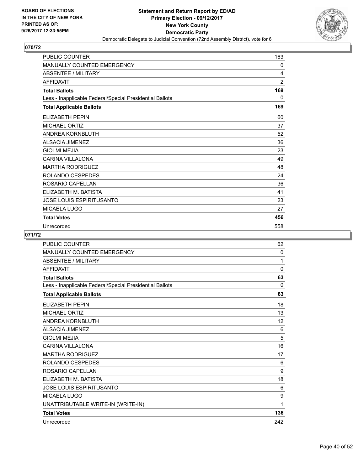

| <b>PUBLIC COUNTER</b>                                    | 163            |
|----------------------------------------------------------|----------------|
| <b>MANUALLY COUNTED EMERGENCY</b>                        | 0              |
| <b>ABSENTEE / MILITARY</b>                               | 4              |
| <b>AFFIDAVIT</b>                                         | $\overline{2}$ |
| <b>Total Ballots</b>                                     | 169            |
| Less - Inapplicable Federal/Special Presidential Ballots | 0              |
| <b>Total Applicable Ballots</b>                          | 169            |
| ELIZABETH PEPIN                                          | 60             |
| <b>MICHAEL ORTIZ</b>                                     | 37             |
| ANDREA KORNBLUTH                                         | 52             |
| <b>ALSACIA JIMENEZ</b>                                   | 36             |
| <b>GIOLMI MEJIA</b>                                      | 23             |
| <b>CARINA VILLALONA</b>                                  | 49             |
| <b>MARTHA RODRIGUEZ</b>                                  | 48             |
| ROLANDO CESPEDES                                         | 24             |
| ROSARIO CAPELLAN                                         | 36             |
| ELIZABETH M. BATISTA                                     | 41             |
| JOSE LOUIS ESPIRITUSANTO                                 | 23             |
| <b>MICAELA LUGO</b>                                      | 27             |
| <b>Total Votes</b>                                       | 456            |
| Unrecorded                                               | 558            |

| <b>PUBLIC COUNTER</b>                                    | 62       |
|----------------------------------------------------------|----------|
| <b>MANUALLY COUNTED EMERGENCY</b>                        | 0        |
| <b>ABSENTEE / MILITARY</b>                               | 1        |
| <b>AFFIDAVIT</b>                                         | 0        |
| <b>Total Ballots</b>                                     | 63       |
| Less - Inapplicable Federal/Special Presidential Ballots | $\Omega$ |
| <b>Total Applicable Ballots</b>                          | 63       |
| <b>ELIZABETH PEPIN</b>                                   | 18       |
| <b>MICHAEL ORTIZ</b>                                     | 13       |
| ANDREA KORNBLUTH                                         | 12       |
| <b>ALSACIA JIMENEZ</b>                                   | 6        |
| <b>GIOLMI MEJIA</b>                                      | 5        |
| <b>CARINA VILLALONA</b>                                  | 16       |
| <b>MARTHA RODRIGUEZ</b>                                  | 17       |
| ROLANDO CESPEDES                                         | 6        |
| ROSARIO CAPELLAN                                         | 9        |
| ELIZABETH M. BATISTA                                     | 18       |
| <b>JOSE LOUIS ESPIRITUSANTO</b>                          | 6        |
| <b>MICAELA LUGO</b>                                      | 9        |
| UNATTRIBUTABLE WRITE-IN (WRITE-IN)                       | 1        |
| <b>Total Votes</b>                                       | 136      |
| Unrecorded                                               | 242      |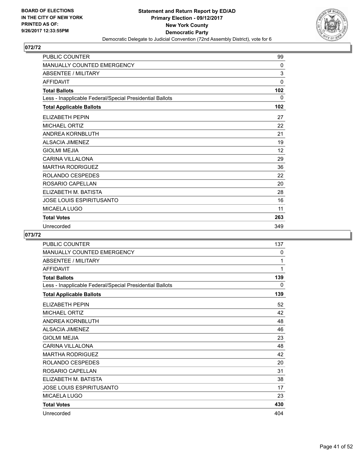

| <b>PUBLIC COUNTER</b>                                    | 99  |
|----------------------------------------------------------|-----|
| MANUALLY COUNTED EMERGENCY                               | 0   |
| <b>ABSENTEE / MILITARY</b>                               | 3   |
| <b>AFFIDAVIT</b>                                         | 0   |
| <b>Total Ballots</b>                                     | 102 |
| Less - Inapplicable Federal/Special Presidential Ballots | 0   |
| <b>Total Applicable Ballots</b>                          | 102 |
| <b>ELIZABETH PEPIN</b>                                   | 27  |
| <b>MICHAEL ORTIZ</b>                                     | 22  |
| <b>ANDREA KORNBLUTH</b>                                  | 21  |
| <b>ALSACIA JIMENEZ</b>                                   | 19  |
| <b>GIOLMI MEJIA</b>                                      | 12  |
| <b>CARINA VILLALONA</b>                                  | 29  |
| <b>MARTHA RODRIGUEZ</b>                                  | 36  |
| ROLANDO CESPEDES                                         | 22  |
| ROSARIO CAPELLAN                                         | 20  |
| ELIZABETH M. BATISTA                                     | 28  |
| <b>JOSE LOUIS ESPIRITUSANTO</b>                          | 16  |
| MICAELA LUGO                                             | 11  |
| <b>Total Votes</b>                                       | 263 |
| Unrecorded                                               | 349 |

| PUBLIC COUNTER                                           | 137 |
|----------------------------------------------------------|-----|
| MANUALLY COUNTED EMERGENCY                               | 0   |
| <b>ABSENTEE / MILITARY</b>                               | 1   |
| <b>AFFIDAVIT</b>                                         | 1   |
| <b>Total Ballots</b>                                     | 139 |
| Less - Inapplicable Federal/Special Presidential Ballots | 0   |
| <b>Total Applicable Ballots</b>                          | 139 |
| <b>ELIZABETH PEPIN</b>                                   | 52  |
| <b>MICHAEL ORTIZ</b>                                     | 42  |
| ANDREA KORNBLUTH                                         | 48  |
| <b>ALSACIA JIMENEZ</b>                                   | 46  |
| <b>GIOLMI MEJIA</b>                                      | 23  |
| <b>CARINA VILLALONA</b>                                  | 48  |
| <b>MARTHA RODRIGUEZ</b>                                  | 42  |
| ROLANDO CESPEDES                                         | 20  |
| ROSARIO CAPELLAN                                         | 31  |
| ELIZABETH M. BATISTA                                     | 38  |
| <b>JOSE LOUIS ESPIRITUSANTO</b>                          | 17  |
| <b>MICAELA LUGO</b>                                      | 23  |
| <b>Total Votes</b>                                       | 430 |
| Unrecorded                                               | 404 |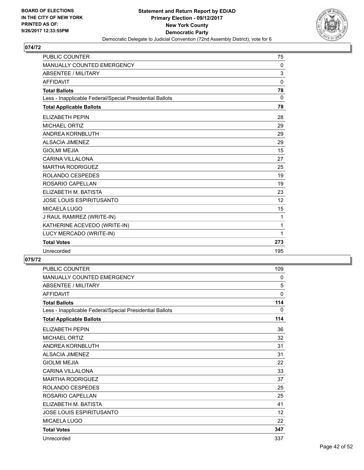

| <b>PUBLIC COUNTER</b>                                    | 75  |
|----------------------------------------------------------|-----|
| <b>MANUALLY COUNTED EMERGENCY</b>                        | 0   |
| <b>ABSENTEE / MILITARY</b>                               | 3   |
| <b>AFFIDAVIT</b>                                         | 0   |
| <b>Total Ballots</b>                                     | 78  |
| Less - Inapplicable Federal/Special Presidential Ballots | 0   |
| <b>Total Applicable Ballots</b>                          | 78  |
| <b>ELIZABETH PEPIN</b>                                   | 28  |
| <b>MICHAEL ORTIZ</b>                                     | 29  |
| <b>ANDREA KORNBLUTH</b>                                  | 29  |
| ALSACIA JIMENEZ                                          | 29  |
| <b>GIOLMI MEJIA</b>                                      | 15  |
| <b>CARINA VILLALONA</b>                                  | 27  |
| <b>MARTHA RODRIGUEZ</b>                                  | 25  |
| ROLANDO CESPEDES                                         | 19  |
| ROSARIO CAPELLAN                                         | 19  |
| ELIZABETH M. BATISTA                                     | 23  |
| <b>JOSE LOUIS ESPIRITUSANTO</b>                          | 12  |
| <b>MICAELA LUGO</b>                                      | 15  |
| J RAUL RAMIREZ (WRITE-IN)                                | 1   |
| KATHERINE ACEVEDO (WRITE-IN)                             | 1   |
| LUCY MERCADO (WRITE-IN)                                  | 1   |
| <b>Total Votes</b>                                       | 273 |
| Unrecorded                                               | 195 |

| <b>PUBLIC COUNTER</b>                                    | 109          |
|----------------------------------------------------------|--------------|
| <b>MANUALLY COUNTED EMERGENCY</b>                        | 0            |
| <b>ABSENTEE / MILITARY</b>                               | 5            |
| <b>AFFIDAVIT</b>                                         | $\mathbf{0}$ |
| <b>Total Ballots</b>                                     | 114          |
| Less - Inapplicable Federal/Special Presidential Ballots | 0            |
| <b>Total Applicable Ballots</b>                          | 114          |
| <b>ELIZABETH PEPIN</b>                                   | 36           |
| <b>MICHAEL ORTIZ</b>                                     | 32           |
| <b>ANDREA KORNBLUTH</b>                                  | 31           |
| <b>ALSACIA JIMENEZ</b>                                   | 31           |
| <b>GIOLMI MEJIA</b>                                      | 22           |
| CARINA VII LAI ONA                                       | 33           |
| <b>MARTHA RODRIGUEZ</b>                                  | 37           |
| ROLANDO CESPEDES                                         | 25           |
| ROSARIO CAPELLAN                                         | 25           |
| ELIZABETH M. BATISTA                                     | 41           |
| <b>JOSE LOUIS ESPIRITUSANTO</b>                          | 12           |
| <b>MICAELA LUGO</b>                                      | 22           |
| <b>Total Votes</b>                                       | 347          |
| Unrecorded                                               | 337          |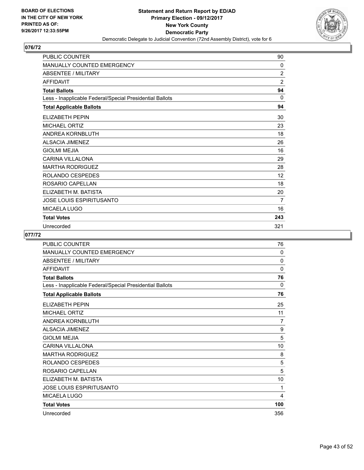

| PUBLIC COUNTER                                           | 90             |
|----------------------------------------------------------|----------------|
| <b>MANUALLY COUNTED EMERGENCY</b>                        | $\mathbf{0}$   |
| <b>ABSENTEE / MILITARY</b>                               | 2              |
| <b>AFFIDAVIT</b>                                         | $\overline{2}$ |
| <b>Total Ballots</b>                                     | 94             |
| Less - Inapplicable Federal/Special Presidential Ballots | $\Omega$       |
| <b>Total Applicable Ballots</b>                          | 94             |
| ELIZABETH PEPIN                                          | 30             |
| <b>MICHAEL ORTIZ</b>                                     | 23             |
| ANDREA KORNBLUTH                                         | 18             |
| <b>ALSACIA JIMENEZ</b>                                   | 26             |
| <b>GIOLMI MEJIA</b>                                      | 16             |
| <b>CARINA VILLALONA</b>                                  | 29             |
| <b>MARTHA RODRIGUEZ</b>                                  | 28             |
| ROLANDO CESPEDES                                         | 12             |
| ROSARIO CAPELLAN                                         | 18             |
| ELIZABETH M. BATISTA                                     | 20             |
| JOSE LOUIS ESPIRITUSANTO                                 | 7              |
| MICAELA LUGO                                             | 16             |
| <b>Total Votes</b>                                       | 243            |
| Unrecorded                                               | 321            |

| PUBLIC COUNTER                                           | 76             |
|----------------------------------------------------------|----------------|
| <b>MANUALLY COUNTED EMERGENCY</b>                        | 0              |
| <b>ABSENTEE / MILITARY</b>                               | 0              |
| <b>AFFIDAVIT</b>                                         | 0              |
| <b>Total Ballots</b>                                     | 76             |
| Less - Inapplicable Federal/Special Presidential Ballots | 0              |
| <b>Total Applicable Ballots</b>                          | 76             |
| <b>ELIZABETH PEPIN</b>                                   | 25             |
| <b>MICHAEL ORTIZ</b>                                     | 11             |
| ANDREA KORNBLUTH                                         | $\overline{7}$ |
| <b>ALSACIA JIMENEZ</b>                                   | 9              |
| <b>GIOLMI MEJIA</b>                                      | 5              |
| <b>CARINA VILLALONA</b>                                  | 10             |
| <b>MARTHA RODRIGUEZ</b>                                  | 8              |
| ROLANDO CESPEDES                                         | 5              |
| ROSARIO CAPELLAN                                         | 5              |
| ELIZABETH M. BATISTA                                     | 10             |
| <b>JOSE LOUIS ESPIRITUSANTO</b>                          | 1              |
| <b>MICAELA LUGO</b>                                      | 4              |
| <b>Total Votes</b>                                       | 100            |
| Unrecorded                                               | 356            |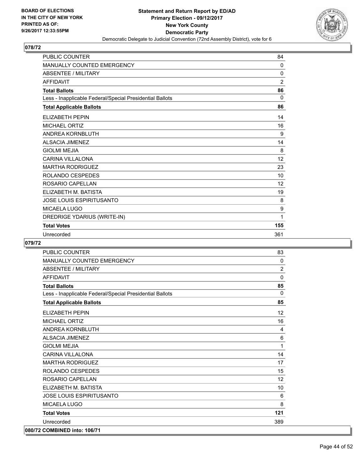

| <b>PUBLIC COUNTER</b>                                    | 84             |
|----------------------------------------------------------|----------------|
| <b>MANUALLY COUNTED EMERGENCY</b>                        | $\mathbf{0}$   |
| <b>ABSENTEE / MILITARY</b>                               | $\mathbf 0$    |
| <b>AFFIDAVIT</b>                                         | $\overline{2}$ |
| <b>Total Ballots</b>                                     | 86             |
| Less - Inapplicable Federal/Special Presidential Ballots | 0              |
| <b>Total Applicable Ballots</b>                          | 86             |
| <b>ELIZABETH PEPIN</b>                                   | 14             |
| <b>MICHAEL ORTIZ</b>                                     | 16             |
| ANDREA KORNBLUTH                                         | 9              |
| <b>ALSACIA JIMENEZ</b>                                   | 14             |
| <b>GIOLMI MEJIA</b>                                      | 8              |
| <b>CARINA VILLALONA</b>                                  | 12             |
| <b>MARTHA RODRIGUEZ</b>                                  | 23             |
| ROLANDO CESPEDES                                         | 10             |
| ROSARIO CAPELLAN                                         | 12             |
| ELIZABETH M. BATISTA                                     | 19             |
| JOSE LOUIS ESPIRITUSANTO                                 | 8              |
| <b>MICAELA LUGO</b>                                      | 9              |
| DREDRIGE YDARIUS (WRITE-IN)                              | 1              |
| <b>Total Votes</b>                                       | 155            |
| Unrecorded                                               | 361            |

| <b>PUBLIC COUNTER</b>                                    | 83             |
|----------------------------------------------------------|----------------|
| MANUALLY COUNTED EMERGENCY                               | $\mathbf{0}$   |
| <b>ABSENTEE / MILITARY</b>                               | $\overline{2}$ |
| <b>AFFIDAVIT</b>                                         | $\Omega$       |
| <b>Total Ballots</b>                                     | 85             |
| Less - Inapplicable Federal/Special Presidential Ballots | $\mathbf{0}$   |
| <b>Total Applicable Ballots</b>                          | 85             |
| <b>ELIZABETH PEPIN</b>                                   | 12             |
| <b>MICHAEL ORTIZ</b>                                     | 16             |
| <b>ANDREA KORNBLUTH</b>                                  | 4              |
| <b>ALSACIA JIMENEZ</b>                                   | 6              |
| <b>GIOLMI MEJIA</b>                                      | 1              |
| <b>CARINA VILLALONA</b>                                  | 14             |
| <b>MARTHA RODRIGUEZ</b>                                  | 17             |
| <b>ROLANDO CESPEDES</b>                                  | 15             |
| ROSARIO CAPELLAN                                         | 12             |
| ELIZABETH M. BATISTA                                     | 10             |
| <b>JOSE LOUIS ESPIRITUSANTO</b>                          | 6              |
| MICAELA LUGO                                             | 8              |
| <b>Total Votes</b>                                       | 121            |
| Unrecorded                                               | 389            |
| 080/72 COMBINED into: 106/71                             |                |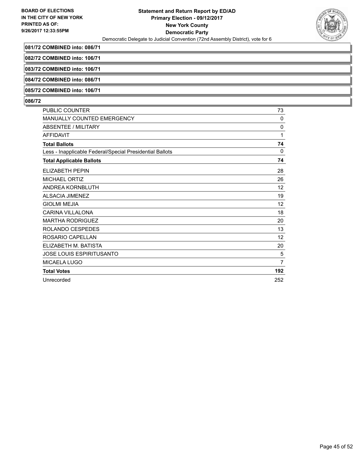

**081/72 COMBINED into: 086/71**

**082/72 COMBINED into: 106/71**

**083/72 COMBINED into: 106/71**

**084/72 COMBINED into: 086/71**

**085/72 COMBINED into: 106/71**

| <b>PUBLIC COUNTER</b>                                    | 73             |
|----------------------------------------------------------|----------------|
| <b>MANUALLY COUNTED EMERGENCY</b>                        | 0              |
| <b>ABSENTEE / MILITARY</b>                               | 0              |
| <b>AFFIDAVIT</b>                                         | 1              |
| <b>Total Ballots</b>                                     | 74             |
| Less - Inapplicable Federal/Special Presidential Ballots | $\mathbf{0}$   |
| <b>Total Applicable Ballots</b>                          | 74             |
| <b>ELIZABETH PEPIN</b>                                   | 28             |
| <b>MICHAEL ORTIZ</b>                                     | 26             |
| ANDREA KORNBLUTH                                         | 12             |
| <b>ALSACIA JIMENEZ</b>                                   | 19             |
| <b>GIOLMI MEJIA</b>                                      | 12             |
| <b>CARINA VILLALONA</b>                                  | 18             |
| <b>MARTHA RODRIGUEZ</b>                                  | 20             |
| ROLANDO CESPEDES                                         | 13             |
| ROSARIO CAPELLAN                                         | 12             |
| ELIZABETH M. BATISTA                                     | 20             |
| <b>JOSE LOUIS ESPIRITUSANTO</b>                          | 5              |
| MICAELA LUGO                                             | $\overline{7}$ |
| <b>Total Votes</b>                                       | 192            |
| Unrecorded                                               | 252            |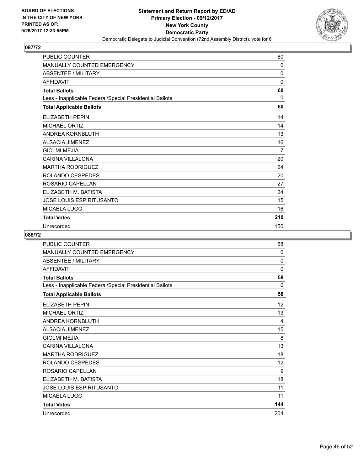

| <b>PUBLIC COUNTER</b>                                    | 60           |
|----------------------------------------------------------|--------------|
| <b>MANUALLY COUNTED EMERGENCY</b>                        | $\mathbf{0}$ |
| <b>ABSENTEE / MILITARY</b>                               | 0            |
| <b>AFFIDAVIT</b>                                         | $\mathbf{0}$ |
| <b>Total Ballots</b>                                     | 60           |
| Less - Inapplicable Federal/Special Presidential Ballots | $\Omega$     |
| <b>Total Applicable Ballots</b>                          | 60           |
| <b>ELIZABETH PEPIN</b>                                   | 14           |
| <b>MICHAEL ORTIZ</b>                                     | 14           |
| <b>ANDREA KORNBLUTH</b>                                  | 13           |
| <b>ALSACIA JIMENEZ</b>                                   | 16           |
| <b>GIOLMI MEJIA</b>                                      | 7            |
| <b>CARINA VILLALONA</b>                                  | 20           |
| <b>MARTHA RODRIGUEZ</b>                                  | 24           |
| ROLANDO CESPEDES                                         | 20           |
| ROSARIO CAPELLAN                                         | 27           |
| ELIZABETH M. BATISTA                                     | 24           |
| JOSE LOUIS ESPIRITUSANTO                                 | 15           |
| MICAELA LUGO                                             | 16           |
| <b>Total Votes</b>                                       | 210          |
| Unrecorded                                               | 150          |

| <b>PUBLIC COUNTER</b>                                    | 58           |
|----------------------------------------------------------|--------------|
| MANUALLY COUNTED EMERGENCY                               | $\mathbf{0}$ |
| <b>ABSENTEE / MILITARY</b>                               | 0            |
| <b>AFFIDAVIT</b>                                         | $\mathbf 0$  |
| <b>Total Ballots</b>                                     | 58           |
| Less - Inapplicable Federal/Special Presidential Ballots | 0            |
| <b>Total Applicable Ballots</b>                          | 58           |
| <b>ELIZABETH PEPIN</b>                                   | 12           |
| <b>MICHAEL ORTIZ</b>                                     | 13           |
| ANDREA KORNBLUTH                                         | 4            |
| <b>ALSACIA JIMENEZ</b>                                   | 15           |
| <b>GIOLMI MEJIA</b>                                      | 8            |
| <b>CARINA VILLALONA</b>                                  | 13           |
| <b>MARTHA RODRIGUEZ</b>                                  | 18           |
| ROLANDO CESPEDES                                         | 12           |
| ROSARIO CAPELLAN                                         | 9            |
| ELIZABETH M. BATISTA                                     | 18           |
| <b>JOSE LOUIS ESPIRITUSANTO</b>                          | 11           |
| MICAELA LUGO                                             | 11           |
| <b>Total Votes</b>                                       | 144          |
| Unrecorded                                               | 204          |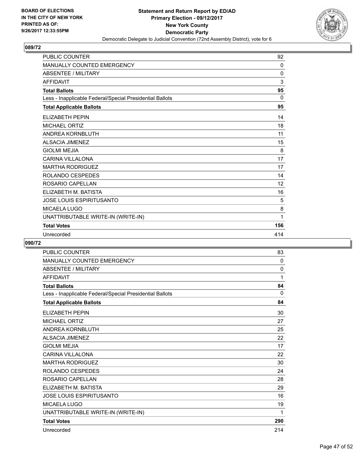

| <b>PUBLIC COUNTER</b>                                    | 92       |
|----------------------------------------------------------|----------|
| <b>MANUALLY COUNTED EMERGENCY</b>                        | 0        |
| <b>ABSENTEE / MILITARY</b>                               | $\Omega$ |
| <b>AFFIDAVIT</b>                                         | 3        |
| <b>Total Ballots</b>                                     | 95       |
| Less - Inapplicable Federal/Special Presidential Ballots | $\Omega$ |
| <b>Total Applicable Ballots</b>                          | 95       |
| <b>ELIZABETH PEPIN</b>                                   | 14       |
| <b>MICHAEL ORTIZ</b>                                     | 18       |
| ANDREA KORNBLUTH                                         | 11       |
| <b>ALSACIA JIMENEZ</b>                                   | 15       |
| <b>GIOLMI MEJIA</b>                                      | 8        |
| <b>CARINA VILLALONA</b>                                  | 17       |
| <b>MARTHA RODRIGUEZ</b>                                  | 17       |
| <b>ROLANDO CESPEDES</b>                                  | 14       |
| ROSARIO CAPELLAN                                         | 12       |
| ELIZABETH M. BATISTA                                     | 16       |
| JOSE LOUIS ESPIRITUSANTO                                 | 5        |
| <b>MICAELA LUGO</b>                                      | 8        |
| UNATTRIBUTABLE WRITE-IN (WRITE-IN)                       | 1        |
| <b>Total Votes</b>                                       | 156      |
| Unrecorded                                               | 414      |

| <b>PUBLIC COUNTER</b>                                    | 83           |
|----------------------------------------------------------|--------------|
| <b>MANUALLY COUNTED EMERGENCY</b>                        | 0            |
| <b>ABSENTEE / MILITARY</b>                               | 0            |
| <b>AFFIDAVIT</b>                                         | 1            |
| <b>Total Ballots</b>                                     | 84           |
| Less - Inapplicable Federal/Special Presidential Ballots | $\mathbf{0}$ |
| <b>Total Applicable Ballots</b>                          | 84           |
| <b>ELIZABETH PEPIN</b>                                   | 30           |
| <b>MICHAEL ORTIZ</b>                                     | 27           |
| ANDREA KORNBLUTH                                         | 25           |
| <b>ALSACIA JIMENEZ</b>                                   | 22           |
| <b>GIOLMI MEJIA</b>                                      | 17           |
| <b>CARINA VILLALONA</b>                                  | 22           |
| <b>MARTHA RODRIGUEZ</b>                                  | 30           |
| ROLANDO CESPEDES                                         | 24           |
| ROSARIO CAPELLAN                                         | 28           |
| ELIZABETH M. BATISTA                                     | 29           |
| <b>JOSE LOUIS ESPIRITUSANTO</b>                          | 16           |
| <b>MICAELA LUGO</b>                                      | 19           |
| UNATTRIBUTABLE WRITE-IN (WRITE-IN)                       | 1            |
| <b>Total Votes</b>                                       | 290          |
| Unrecorded                                               | 214          |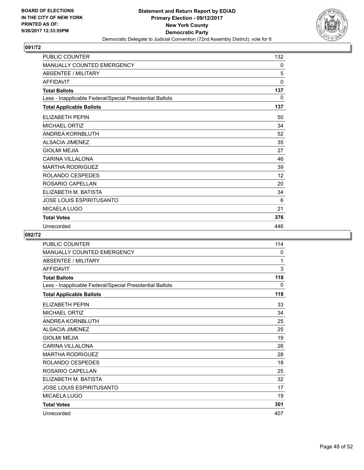

| <b>PUBLIC COUNTER</b>                                    | 132          |
|----------------------------------------------------------|--------------|
| <b>MANUALLY COUNTED EMERGENCY</b>                        | 0            |
| <b>ABSENTEE / MILITARY</b>                               | 5            |
| <b>AFFIDAVIT</b>                                         | $\mathbf{0}$ |
| <b>Total Ballots</b>                                     | 137          |
| Less - Inapplicable Federal/Special Presidential Ballots | 0            |
| <b>Total Applicable Ballots</b>                          | 137          |
| <b>ELIZABETH PEPIN</b>                                   | 50           |
| <b>MICHAEL ORTIZ</b>                                     | 34           |
| <b>ANDREA KORNBLUTH</b>                                  | 52           |
| <b>ALSACIA JIMENEZ</b>                                   | 35           |
| <b>GIOLMI MEJIA</b>                                      | 27           |
| <b>CARINA VILLALONA</b>                                  | 46           |
| <b>MARTHA RODRIGUEZ</b>                                  | 39           |
| ROLANDO CESPEDES                                         | 12           |
| ROSARIO CAPELLAN                                         | 20           |
| ELIZABETH M. BATISTA                                     | 34           |
| <b>JOSE LOUIS ESPIRITUSANTO</b>                          | 6            |
| MICAELA LUGO                                             | 21           |
| <b>Total Votes</b>                                       | 376          |
| Unrecorded                                               | 446          |

| PUBLIC COUNTER                                           | 114 |
|----------------------------------------------------------|-----|
| <b>MANUALLY COUNTED EMERGENCY</b>                        | 0   |
| <b>ABSENTEE / MILITARY</b>                               | 1   |
| <b>AFFIDAVIT</b>                                         | 3   |
| <b>Total Ballots</b>                                     | 118 |
| Less - Inapplicable Federal/Special Presidential Ballots | 0   |
| <b>Total Applicable Ballots</b>                          | 118 |
| ELIZABETH PEPIN                                          | 33  |
| <b>MICHAEL ORTIZ</b>                                     | 34  |
| ANDREA KORNBLUTH                                         | 25  |
| <b>ALSACIA JIMENEZ</b>                                   | 25  |
| <b>GIOLMI MEJIA</b>                                      | 19  |
| <b>CARINA VILLALONA</b>                                  | 26  |
| <b>MARTHA RODRIGUEZ</b>                                  | 28  |
| ROLANDO CESPEDES                                         | 18  |
| ROSARIO CAPELLAN                                         | 25  |
| ELIZABETH M. BATISTA                                     | 32  |
| <b>JOSE LOUIS ESPIRITUSANTO</b>                          | 17  |
| <b>MICAELA LUGO</b>                                      | 19  |
| <b>Total Votes</b>                                       | 301 |
| Unrecorded                                               | 407 |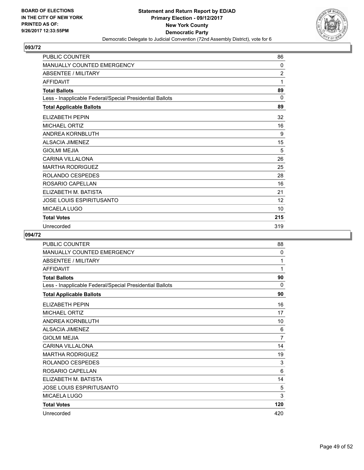

| <b>PUBLIC COUNTER</b>                                    | 86           |
|----------------------------------------------------------|--------------|
| <b>MANUALLY COUNTED EMERGENCY</b>                        | $\mathbf{0}$ |
| <b>ABSENTEE / MILITARY</b>                               | 2            |
| <b>AFFIDAVIT</b>                                         | 1            |
| <b>Total Ballots</b>                                     | 89           |
| Less - Inapplicable Federal/Special Presidential Ballots | $\mathbf{0}$ |
| <b>Total Applicable Ballots</b>                          | 89           |
| <b>ELIZABETH PEPIN</b>                                   | 32           |
| <b>MICHAEL ORTIZ</b>                                     | 16           |
| <b>ANDREA KORNBLUTH</b>                                  | 9            |
| <b>ALSACIA JIMENEZ</b>                                   | 15           |
| <b>GIOLMI MEJIA</b>                                      | 5            |
| <b>CARINA VILLALONA</b>                                  | 26           |
| <b>MARTHA RODRIGUEZ</b>                                  | 25           |
| ROLANDO CESPEDES                                         | 28           |
| ROSARIO CAPELLAN                                         | 16           |
| ELIZABETH M. BATISTA                                     | 21           |
| <b>JOSE LOUIS ESPIRITUSANTO</b>                          | 12           |
| <b>MICAELA LUGO</b>                                      | 10           |
| <b>Total Votes</b>                                       | 215          |
| Unrecorded                                               | 319          |

| PUBLIC COUNTER                                           | 88             |
|----------------------------------------------------------|----------------|
| <b>MANUALLY COUNTED EMERGENCY</b>                        | $\mathbf{0}$   |
| <b>ABSENTEE / MILITARY</b>                               | 1              |
| <b>AFFIDAVIT</b>                                         | 1              |
| <b>Total Ballots</b>                                     | 90             |
| Less - Inapplicable Federal/Special Presidential Ballots | 0              |
| <b>Total Applicable Ballots</b>                          | 90             |
| <b>ELIZABETH PEPIN</b>                                   | 16             |
| <b>MICHAEL ORTIZ</b>                                     | 17             |
| ANDREA KORNBLUTH                                         | 10             |
| <b>ALSACIA JIMENEZ</b>                                   | 6              |
| <b>GIOLMI MEJIA</b>                                      | $\overline{7}$ |
| <b>CARINA VILLALONA</b>                                  | 14             |
| <b>MARTHA RODRIGUEZ</b>                                  | 19             |
| ROLANDO CESPEDES                                         | 3              |
| ROSARIO CAPELLAN                                         | 6              |
| ELIZABETH M. BATISTA                                     | 14             |
| <b>JOSE LOUIS ESPIRITUSANTO</b>                          | 5              |
| <b>MICAELA LUGO</b>                                      | 3              |
| <b>Total Votes</b>                                       | 120            |
| Unrecorded                                               | 420            |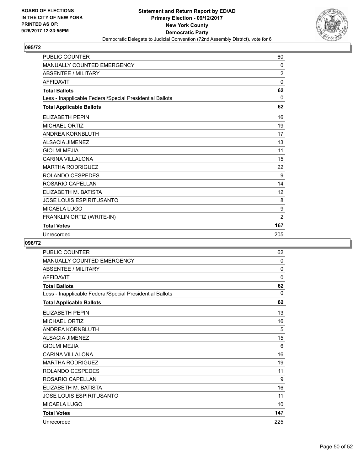

| <b>PUBLIC COUNTER</b>                                    | 60             |
|----------------------------------------------------------|----------------|
| MANUALLY COUNTED EMERGENCY                               | $\mathbf{0}$   |
| <b>ABSENTEE / MILITARY</b>                               | $\overline{2}$ |
| <b>AFFIDAVIT</b>                                         | $\Omega$       |
| <b>Total Ballots</b>                                     | 62             |
| Less - Inapplicable Federal/Special Presidential Ballots | 0              |
| <b>Total Applicable Ballots</b>                          | 62             |
| ELIZABETH PEPIN                                          | 16             |
| <b>MICHAEL ORTIZ</b>                                     | 19             |
| <b>ANDREA KORNBLUTH</b>                                  | 17             |
| <b>ALSACIA JIMENEZ</b>                                   | 13             |
| <b>GIOLMI MEJIA</b>                                      | 11             |
| <b>CARINA VILLALONA</b>                                  | 15             |
| <b>MARTHA RODRIGUEZ</b>                                  | 22             |
| ROLANDO CESPEDES                                         | 9              |
| ROSARIO CAPELLAN                                         | 14             |
| ELIZABETH M. BATISTA                                     | 12             |
| <b>JOSE LOUIS ESPIRITUSANTO</b>                          | 8              |
| <b>MICAELA LUGO</b>                                      | 9              |
| FRANKLIN ORTIZ (WRITE-IN)                                | 2              |
| <b>Total Votes</b>                                       | 167            |
| Unrecorded                                               | 205            |

| <b>PUBLIC COUNTER</b>                                    | 62           |
|----------------------------------------------------------|--------------|
| MANUALLY COUNTED EMERGENCY                               | $\mathbf{0}$ |
| <b>ABSENTEE / MILITARY</b>                               | 0            |
| <b>AFFIDAVIT</b>                                         | 0            |
| <b>Total Ballots</b>                                     | 62           |
| Less - Inapplicable Federal/Special Presidential Ballots | $\Omega$     |
| <b>Total Applicable Ballots</b>                          | 62           |
| <b>ELIZABETH PEPIN</b>                                   | 13           |
| <b>MICHAEL ORTIZ</b>                                     | 16           |
| ANDREA KORNBLUTH                                         | 5            |
| <b>ALSACIA JIMENEZ</b>                                   | 15           |
| <b>GIOLMI MEJIA</b>                                      | 6            |
| <b>CARINA VILLALONA</b>                                  | 16           |
| <b>MARTHA RODRIGUEZ</b>                                  | 19           |
| ROLANDO CESPEDES                                         | 11           |
| ROSARIO CAPELLAN                                         | 9            |
| ELIZABETH M. BATISTA                                     | 16           |
| <b>JOSE LOUIS ESPIRITUSANTO</b>                          | 11           |
| <b>MICAELA LUGO</b>                                      | 10           |
| <b>Total Votes</b>                                       | 147          |
| Unrecorded                                               | 225          |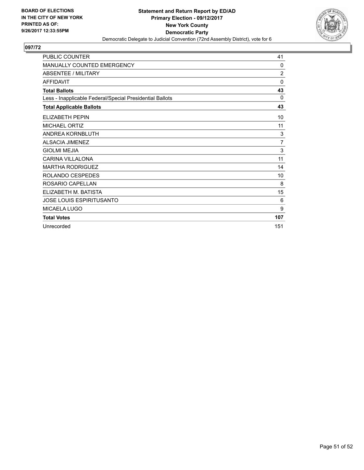

| <b>PUBLIC COUNTER</b>                                    | 41             |
|----------------------------------------------------------|----------------|
| MANUALLY COUNTED EMERGENCY                               | $\Omega$       |
| <b>ABSENTEE / MILITARY</b>                               | $\overline{2}$ |
| <b>AFFIDAVIT</b>                                         | 0              |
| <b>Total Ballots</b>                                     | 43             |
| Less - Inapplicable Federal/Special Presidential Ballots | $\Omega$       |
| <b>Total Applicable Ballots</b>                          | 43             |
| <b>ELIZABETH PEPIN</b>                                   | 10             |
| <b>MICHAEL ORTIZ</b>                                     | 11             |
| <b>ANDREA KORNBLUTH</b>                                  | 3              |
| <b>ALSACIA JIMENEZ</b>                                   | $\overline{7}$ |
| <b>GIOLMI MEJIA</b>                                      | 3              |
| CARINA VII LAI ONA                                       | 11             |
| <b>MARTHA RODRIGUEZ</b>                                  | 14             |
| ROLANDO CESPEDES                                         | 10             |
| ROSARIO CAPELLAN                                         | 8              |
| ELIZABETH M. BATISTA                                     | 15             |
| <b>JOSE LOUIS ESPIRITUSANTO</b>                          | 6              |
| MICAELA LUGO                                             | 9              |
| <b>Total Votes</b>                                       | 107            |
| Unrecorded                                               | 151            |